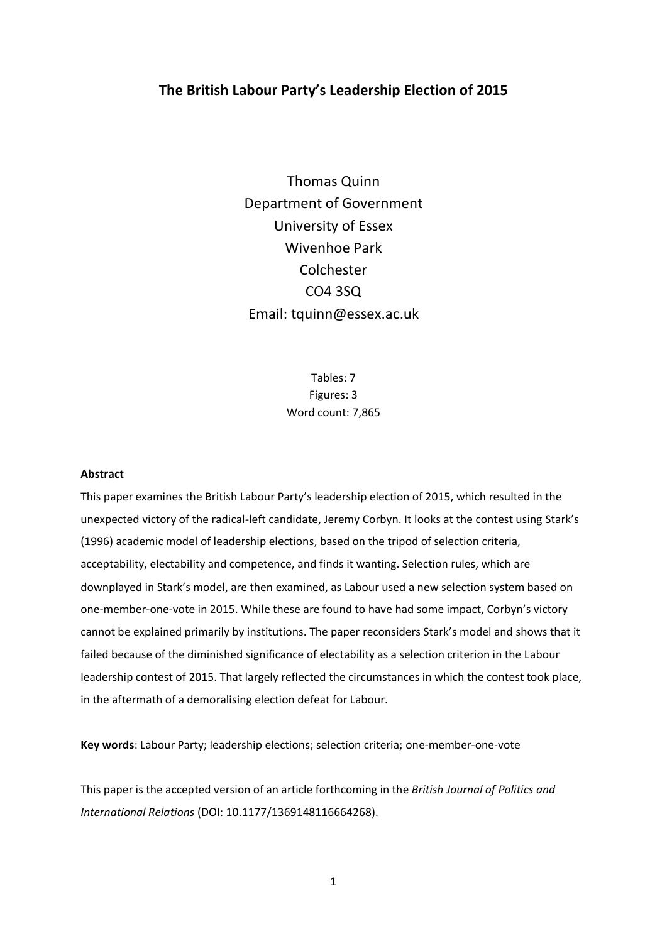# **The British Labour Party's Leadership Election of 2015**

Thomas Quinn Department of Government University of Essex Wivenhoe Park Colchester CO4 3SQ Email: tquinn@essex.ac.uk

> Tables: 7 Figures: 3 Word count: 7,865

#### **Abstract**

This paper examines the British Labour Party's leadership election of 2015, which resulted in the unexpected victory of the radical-left candidate, Jeremy Corbyn. It looks at the contest using Stark's (1996) academic model of leadership elections, based on the tripod of selection criteria, acceptability, electability and competence, and finds it wanting. Selection rules, which are downplayed in Stark's model, are then examined, as Labour used a new selection system based on one-member-one-vote in 2015. While these are found to have had some impact, Corbyn's victory cannot be explained primarily by institutions. The paper reconsiders Stark's model and shows that it failed because of the diminished significance of electability as a selection criterion in the Labour leadership contest of 2015. That largely reflected the circumstances in which the contest took place, in the aftermath of a demoralising election defeat for Labour.

**Key words**: Labour Party; leadership elections; selection criteria; one-member-one-vote

This paper is the accepted version of an article forthcoming in the *British Journal of Politics and International Relations* (DOI: 10.1177/1369148116664268).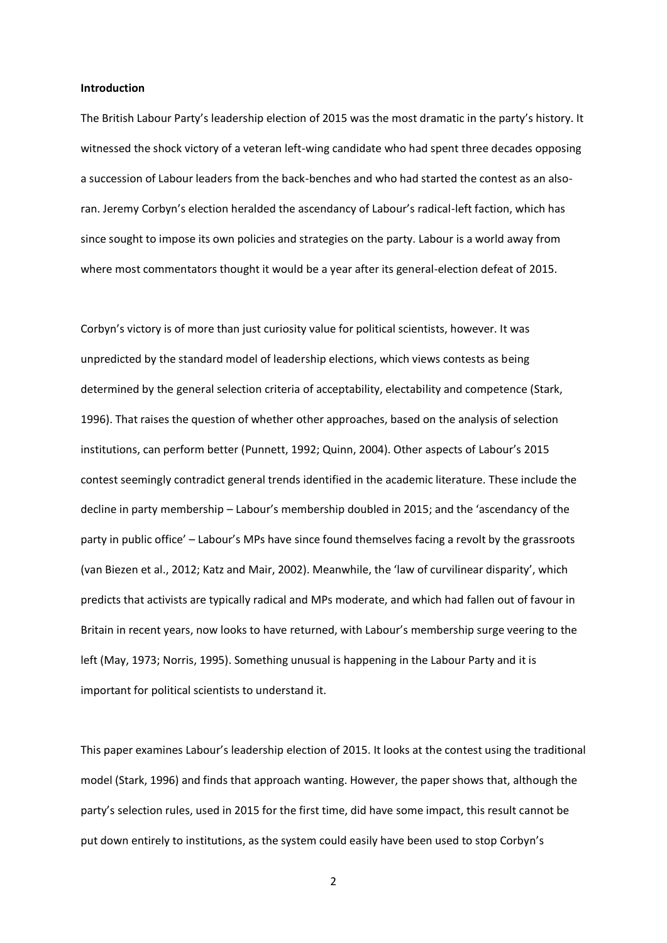#### **Introduction**

The British Labour Party's leadership election of 2015 was the most dramatic in the party's history. It witnessed the shock victory of a veteran left-wing candidate who had spent three decades opposing a succession of Labour leaders from the back-benches and who had started the contest as an alsoran. Jeremy Corbyn's election heralded the ascendancy of Labour's radical-left faction, which has since sought to impose its own policies and strategies on the party. Labour is a world away from where most commentators thought it would be a year after its general-election defeat of 2015.

Corbyn's victory is of more than just curiosity value for political scientists, however. It was unpredicted by the standard model of leadership elections, which views contests as being determined by the general selection criteria of acceptability, electability and competence (Stark, 1996). That raises the question of whether other approaches, based on the analysis of selection institutions, can perform better (Punnett, 1992; Quinn, 2004). Other aspects of Labour's 2015 contest seemingly contradict general trends identified in the academic literature. These include the decline in party membership – Labour's membership doubled in 2015; and the 'ascendancy of the party in public office' – Labour's MPs have since found themselves facing a revolt by the grassroots (van Biezen et al., 2012; Katz and Mair, 2002). Meanwhile, the 'law of curvilinear disparity', which predicts that activists are typically radical and MPs moderate, and which had fallen out of favour in Britain in recent years, now looks to have returned, with Labour's membership surge veering to the left (May, 1973; Norris, 1995). Something unusual is happening in the Labour Party and it is important for political scientists to understand it.

This paper examines Labour's leadership election of 2015. It looks at the contest using the traditional model (Stark, 1996) and finds that approach wanting. However, the paper shows that, although the party's selection rules, used in 2015 for the first time, did have some impact, this result cannot be put down entirely to institutions, as the system could easily have been used to stop Corbyn's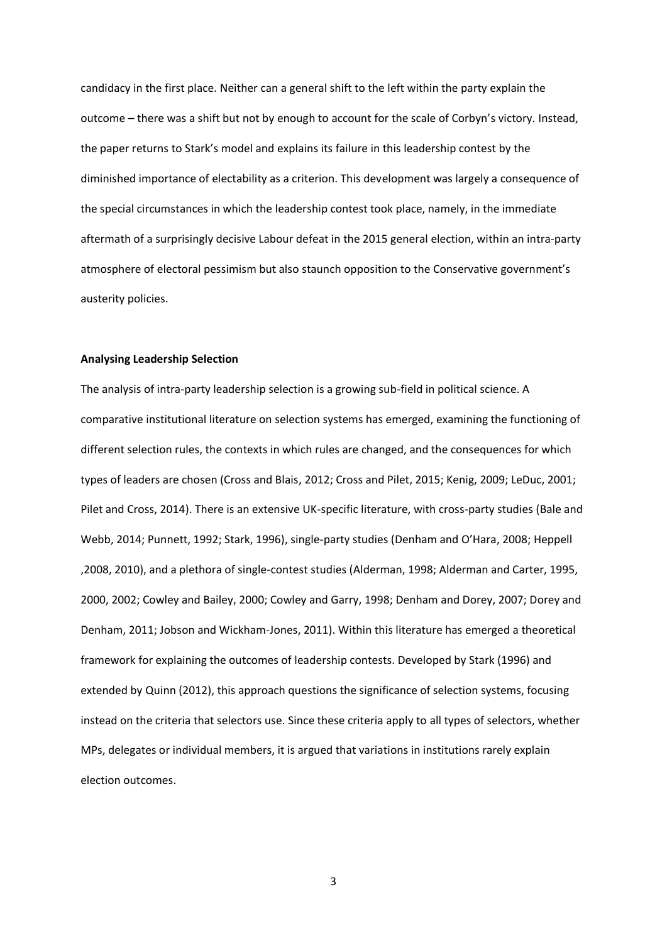candidacy in the first place. Neither can a general shift to the left within the party explain the outcome – there was a shift but not by enough to account for the scale of Corbyn's victory. Instead, the paper returns to Stark's model and explains its failure in this leadership contest by the diminished importance of electability as a criterion. This development was largely a consequence of the special circumstances in which the leadership contest took place, namely, in the immediate aftermath of a surprisingly decisive Labour defeat in the 2015 general election, within an intra-party atmosphere of electoral pessimism but also staunch opposition to the Conservative government's austerity policies.

### **Analysing Leadership Selection**

The analysis of intra-party leadership selection is a growing sub-field in political science. A comparative institutional literature on selection systems has emerged, examining the functioning of different selection rules, the contexts in which rules are changed, and the consequences for which types of leaders are chosen (Cross and Blais, 2012; Cross and Pilet, 2015; Kenig, 2009; LeDuc, 2001; Pilet and Cross, 2014). There is an extensive UK-specific literature, with cross-party studies (Bale and Webb, 2014; Punnett, 1992; Stark, 1996), single-party studies (Denham and O'Hara, 2008; Heppell ,2008, 2010), and a plethora of single-contest studies (Alderman, 1998; Alderman and Carter, 1995, 2000, 2002; Cowley and Bailey, 2000; Cowley and Garry, 1998; Denham and Dorey, 2007; Dorey and Denham, 2011; Jobson and Wickham-Jones, 2011). Within this literature has emerged a theoretical framework for explaining the outcomes of leadership contests. Developed by Stark (1996) and extended by Quinn (2012), this approach questions the significance of selection systems, focusing instead on the criteria that selectors use. Since these criteria apply to all types of selectors, whether MPs, delegates or individual members, it is argued that variations in institutions rarely explain election outcomes.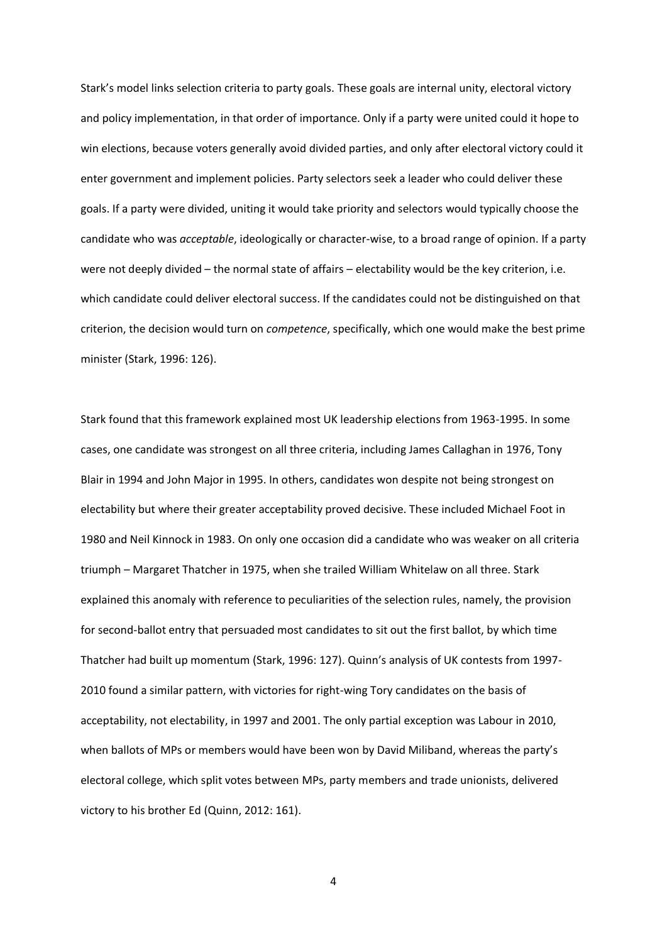Stark's model links selection criteria to party goals. These goals are internal unity, electoral victory and policy implementation, in that order of importance. Only if a party were united could it hope to win elections, because voters generally avoid divided parties, and only after electoral victory could it enter government and implement policies. Party selectors seek a leader who could deliver these goals. If a party were divided, uniting it would take priority and selectors would typically choose the candidate who was *acceptable*, ideologically or character-wise, to a broad range of opinion. If a party were not deeply divided – the normal state of affairs – electability would be the key criterion, i.e. which candidate could deliver electoral success. If the candidates could not be distinguished on that criterion, the decision would turn on *competence*, specifically, which one would make the best prime minister (Stark, 1996: 126).

Stark found that this framework explained most UK leadership elections from 1963-1995. In some cases, one candidate was strongest on all three criteria, including James Callaghan in 1976, Tony Blair in 1994 and John Major in 1995. In others, candidates won despite not being strongest on electability but where their greater acceptability proved decisive. These included Michael Foot in 1980 and Neil Kinnock in 1983. On only one occasion did a candidate who was weaker on all criteria triumph – Margaret Thatcher in 1975, when she trailed William Whitelaw on all three. Stark explained this anomaly with reference to peculiarities of the selection rules, namely, the provision for second-ballot entry that persuaded most candidates to sit out the first ballot, by which time Thatcher had built up momentum (Stark, 1996: 127). Quinn's analysis of UK contests from 1997- 2010 found a similar pattern, with victories for right-wing Tory candidates on the basis of acceptability, not electability, in 1997 and 2001. The only partial exception was Labour in 2010, when ballots of MPs or members would have been won by David Miliband, whereas the party's electoral college, which split votes between MPs, party members and trade unionists, delivered victory to his brother Ed (Quinn, 2012: 161).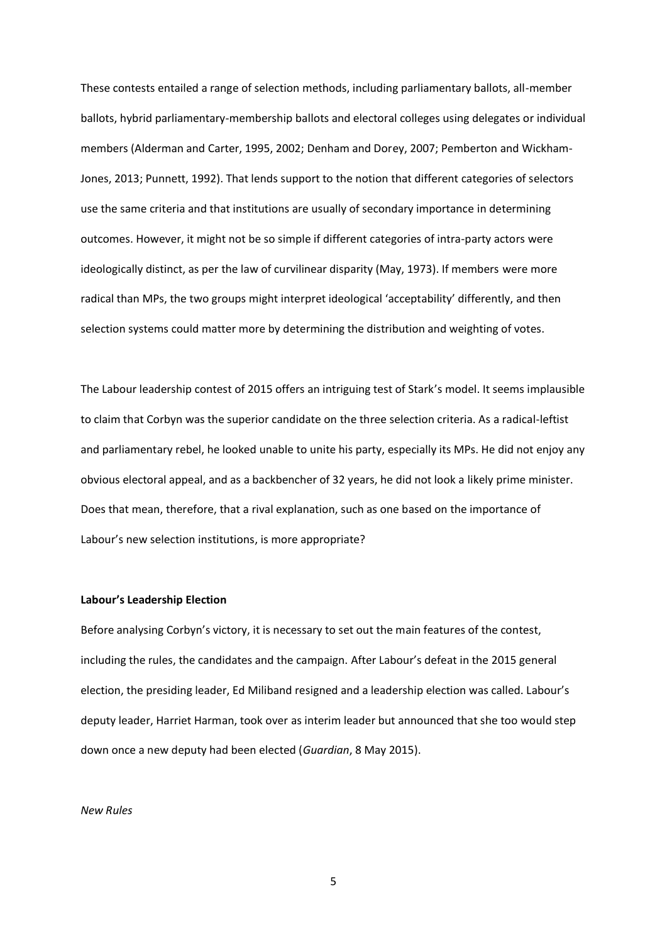These contests entailed a range of selection methods, including parliamentary ballots, all-member ballots, hybrid parliamentary-membership ballots and electoral colleges using delegates or individual members (Alderman and Carter, 1995, 2002; Denham and Dorey, 2007; Pemberton and Wickham-Jones, 2013; Punnett, 1992). That lends support to the notion that different categories of selectors use the same criteria and that institutions are usually of secondary importance in determining outcomes. However, it might not be so simple if different categories of intra-party actors were ideologically distinct, as per the law of curvilinear disparity (May, 1973). If members were more radical than MPs, the two groups might interpret ideological 'acceptability' differently, and then selection systems could matter more by determining the distribution and weighting of votes.

The Labour leadership contest of 2015 offers an intriguing test of Stark's model. It seems implausible to claim that Corbyn was the superior candidate on the three selection criteria. As a radical-leftist and parliamentary rebel, he looked unable to unite his party, especially its MPs. He did not enjoy any obvious electoral appeal, and as a backbencher of 32 years, he did not look a likely prime minister. Does that mean, therefore, that a rival explanation, such as one based on the importance of Labour's new selection institutions, is more appropriate?

#### **Labour's Leadership Election**

Before analysing Corbyn's victory, it is necessary to set out the main features of the contest, including the rules, the candidates and the campaign. After Labour's defeat in the 2015 general election, the presiding leader, Ed Miliband resigned and a leadership election was called. Labour's deputy leader, Harriet Harman, took over as interim leader but announced that she too would step down once a new deputy had been elected (*Guardian*, 8 May 2015).

#### *New Rules*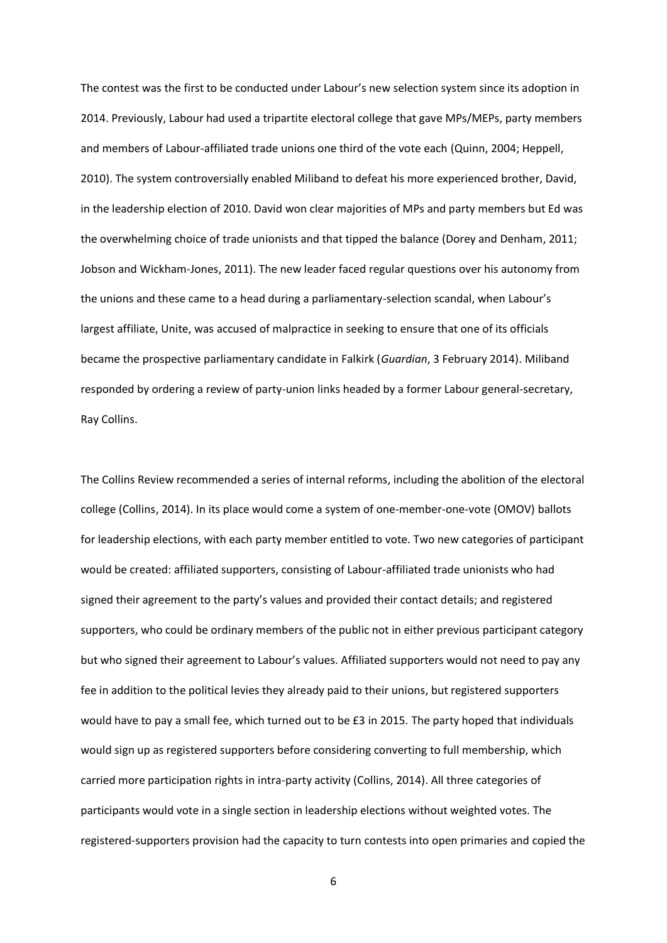The contest was the first to be conducted under Labour's new selection system since its adoption in 2014. Previously, Labour had used a tripartite electoral college that gave MPs/MEPs, party members and members of Labour-affiliated trade unions one third of the vote each (Quinn, 2004; Heppell, 2010). The system controversially enabled Miliband to defeat his more experienced brother, David, in the leadership election of 2010. David won clear majorities of MPs and party members but Ed was the overwhelming choice of trade unionists and that tipped the balance (Dorey and Denham, 2011; Jobson and Wickham-Jones, 2011). The new leader faced regular questions over his autonomy from the unions and these came to a head during a parliamentary-selection scandal, when Labour's largest affiliate, Unite, was accused of malpractice in seeking to ensure that one of its officials became the prospective parliamentary candidate in Falkirk (*Guardian*, 3 February 2014). Miliband responded by ordering a review of party-union links headed by a former Labour general-secretary, Ray Collins.

The Collins Review recommended a series of internal reforms, including the abolition of the electoral college (Collins, 2014). In its place would come a system of one-member-one-vote (OMOV) ballots for leadership elections, with each party member entitled to vote. Two new categories of participant would be created: affiliated supporters, consisting of Labour-affiliated trade unionists who had signed their agreement to the party's values and provided their contact details; and registered supporters, who could be ordinary members of the public not in either previous participant category but who signed their agreement to Labour's values. Affiliated supporters would not need to pay any fee in addition to the political levies they already paid to their unions, but registered supporters would have to pay a small fee, which turned out to be £3 in 2015. The party hoped that individuals would sign up as registered supporters before considering converting to full membership, which carried more participation rights in intra-party activity (Collins, 2014). All three categories of participants would vote in a single section in leadership elections without weighted votes. The registered-supporters provision had the capacity to turn contests into open primaries and copied the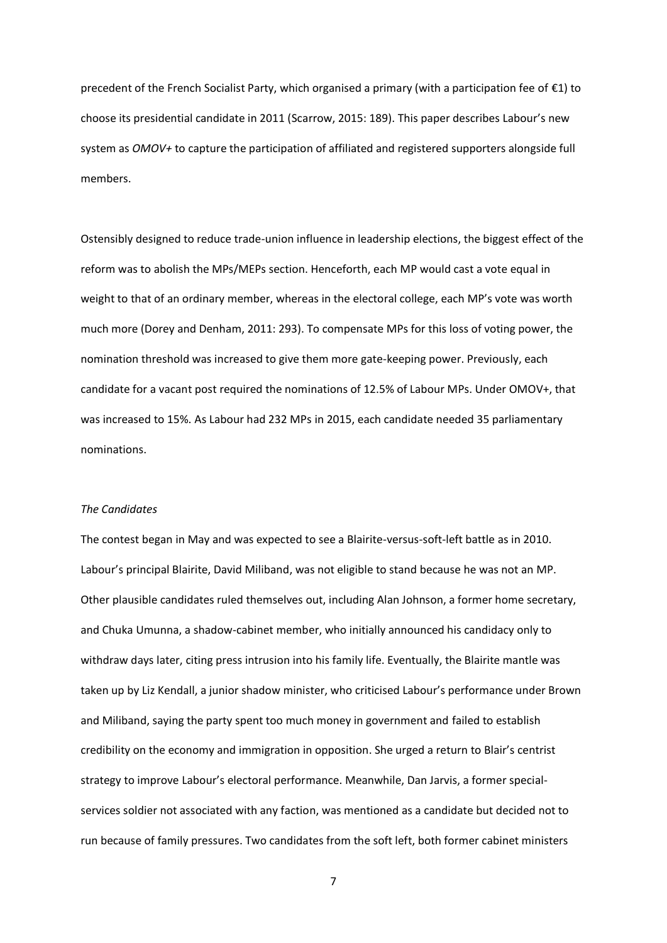precedent of the French Socialist Party, which organised a primary (with a participation fee of €1) to choose its presidential candidate in 2011 (Scarrow, 2015: 189). This paper describes Labour's new system as *OMOV+* to capture the participation of affiliated and registered supporters alongside full members.

Ostensibly designed to reduce trade-union influence in leadership elections, the biggest effect of the reform was to abolish the MPs/MEPs section. Henceforth, each MP would cast a vote equal in weight to that of an ordinary member, whereas in the electoral college, each MP's vote was worth much more (Dorey and Denham, 2011: 293). To compensate MPs for this loss of voting power, the nomination threshold was increased to give them more gate-keeping power. Previously, each candidate for a vacant post required the nominations of 12.5% of Labour MPs. Under OMOV+, that was increased to 15%. As Labour had 232 MPs in 2015, each candidate needed 35 parliamentary nominations.

### *The Candidates*

The contest began in May and was expected to see a Blairite-versus-soft-left battle as in 2010. Labour's principal Blairite, David Miliband, was not eligible to stand because he was not an MP. Other plausible candidates ruled themselves out, including Alan Johnson, a former home secretary, and Chuka Umunna, a shadow-cabinet member, who initially announced his candidacy only to withdraw days later, citing press intrusion into his family life. Eventually, the Blairite mantle was taken up by Liz Kendall, a junior shadow minister, who criticised Labour's performance under Brown and Miliband, saying the party spent too much money in government and failed to establish credibility on the economy and immigration in opposition. She urged a return to Blair's centrist strategy to improve Labour's electoral performance. Meanwhile, Dan Jarvis, a former specialservices soldier not associated with any faction, was mentioned as a candidate but decided not to run because of family pressures. Two candidates from the soft left, both former cabinet ministers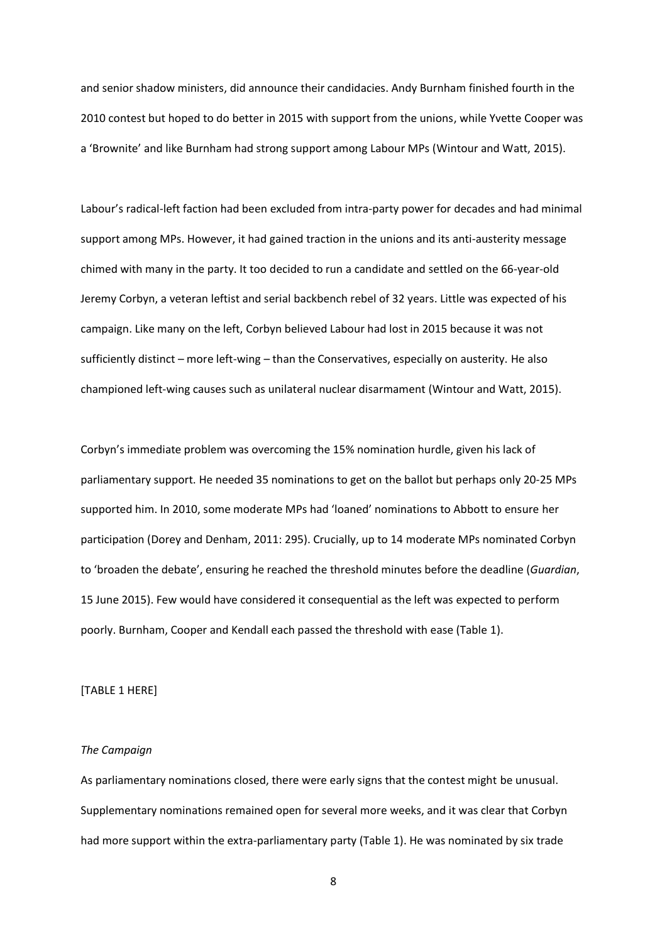and senior shadow ministers, did announce their candidacies. Andy Burnham finished fourth in the 2010 contest but hoped to do better in 2015 with support from the unions, while Yvette Cooper was a 'Brownite' and like Burnham had strong support among Labour MPs (Wintour and Watt, 2015).

Labour's radical-left faction had been excluded from intra-party power for decades and had minimal support among MPs. However, it had gained traction in the unions and its anti-austerity message chimed with many in the party. It too decided to run a candidate and settled on the 66-year-old Jeremy Corbyn, a veteran leftist and serial backbench rebel of 32 years. Little was expected of his campaign. Like many on the left, Corbyn believed Labour had lost in 2015 because it was not sufficiently distinct – more left-wing – than the Conservatives, especially on austerity. He also championed left-wing causes such as unilateral nuclear disarmament (Wintour and Watt, 2015).

Corbyn's immediate problem was overcoming the 15% nomination hurdle, given his lack of parliamentary support. He needed 35 nominations to get on the ballot but perhaps only 20-25 MPs supported him. In 2010, some moderate MPs had 'loaned' nominations to Abbott to ensure her participation (Dorey and Denham, 2011: 295). Crucially, up to 14 moderate MPs nominated Corbyn to 'broaden the debate', ensuring he reached the threshold minutes before the deadline (*Guardian*, 15 June 2015). Few would have considered it consequential as the left was expected to perform poorly. Burnham, Cooper and Kendall each passed the threshold with ease (Table 1).

### [TABLE 1 HERE]

#### *The Campaign*

As parliamentary nominations closed, there were early signs that the contest might be unusual. Supplementary nominations remained open for several more weeks, and it was clear that Corbyn had more support within the extra-parliamentary party (Table 1). He was nominated by six trade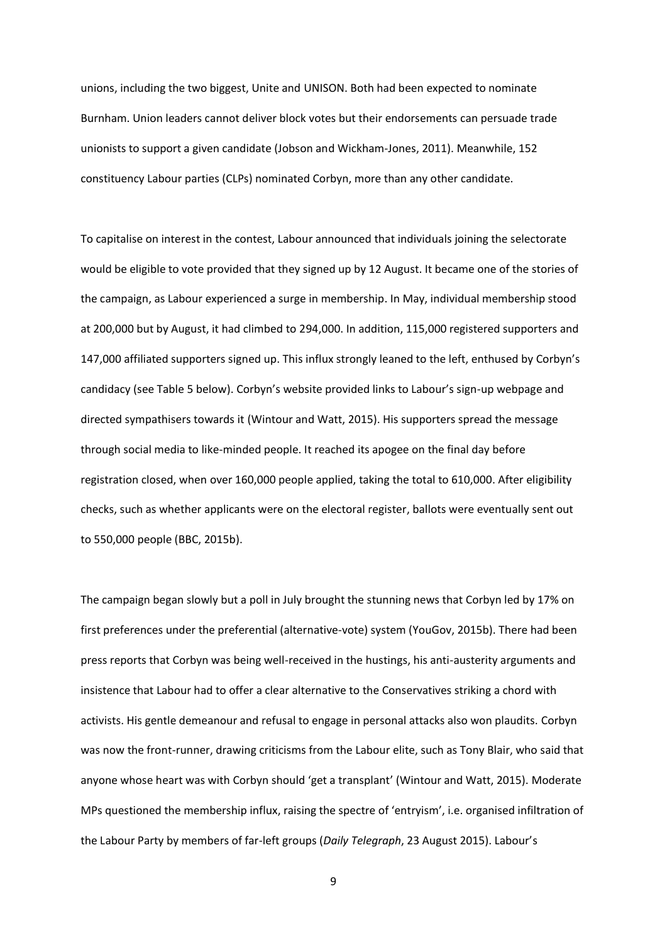unions, including the two biggest, Unite and UNISON. Both had been expected to nominate Burnham. Union leaders cannot deliver block votes but their endorsements can persuade trade unionists to support a given candidate (Jobson and Wickham-Jones, 2011). Meanwhile, 152 constituency Labour parties (CLPs) nominated Corbyn, more than any other candidate.

To capitalise on interest in the contest, Labour announced that individuals joining the selectorate would be eligible to vote provided that they signed up by 12 August. It became one of the stories of the campaign, as Labour experienced a surge in membership. In May, individual membership stood at 200,000 but by August, it had climbed to 294,000. In addition, 115,000 registered supporters and 147,000 affiliated supporters signed up. This influx strongly leaned to the left, enthused by Corbyn's candidacy (see Table 5 below). Corbyn's website provided links to Labour's sign-up webpage and directed sympathisers towards it (Wintour and Watt, 2015). His supporters spread the message through social media to like-minded people. It reached its apogee on the final day before registration closed, when over 160,000 people applied, taking the total to 610,000. After eligibility checks, such as whether applicants were on the electoral register, ballots were eventually sent out to 550,000 people (BBC, 2015b).

The campaign began slowly but a poll in July brought the stunning news that Corbyn led by 17% on first preferences under the preferential (alternative-vote) system (YouGov, 2015b). There had been press reports that Corbyn was being well-received in the hustings, his anti-austerity arguments and insistence that Labour had to offer a clear alternative to the Conservatives striking a chord with activists. His gentle demeanour and refusal to engage in personal attacks also won plaudits. Corbyn was now the front-runner, drawing criticisms from the Labour elite, such as Tony Blair, who said that anyone whose heart was with Corbyn should 'get a transplant' (Wintour and Watt, 2015). Moderate MPs questioned the membership influx, raising the spectre of 'entryism', i.e. organised infiltration of the Labour Party by members of far-left groups (*Daily Telegraph*, 23 August 2015). Labour's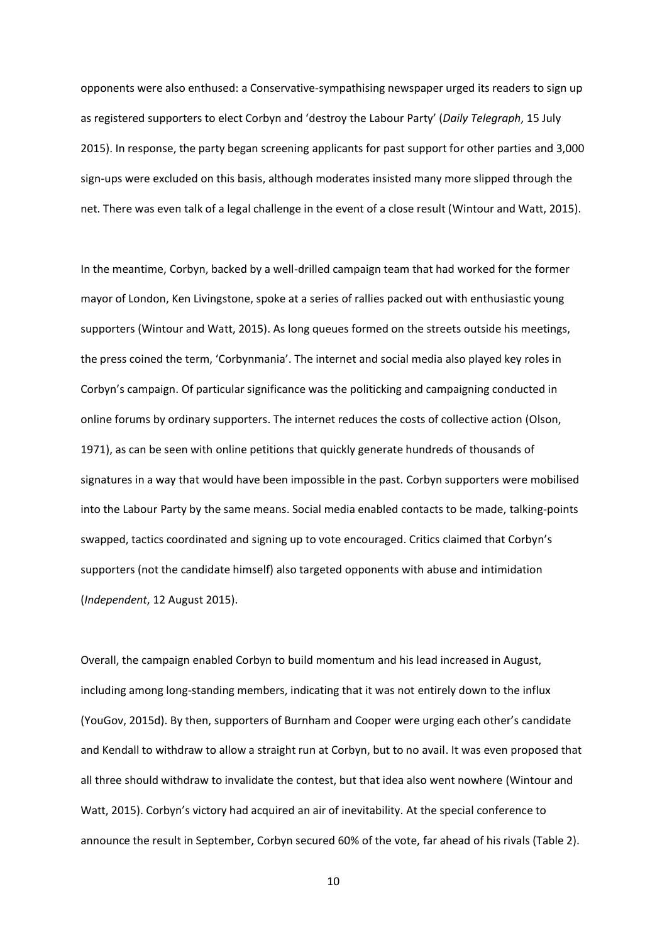opponents were also enthused: a Conservative-sympathising newspaper urged its readers to sign up as registered supporters to elect Corbyn and 'destroy the Labour Party' (*Daily Telegraph*, 15 July 2015). In response, the party began screening applicants for past support for other parties and 3,000 sign-ups were excluded on this basis, although moderates insisted many more slipped through the net. There was even talk of a legal challenge in the event of a close result (Wintour and Watt, 2015).

In the meantime, Corbyn, backed by a well-drilled campaign team that had worked for the former mayor of London, Ken Livingstone, spoke at a series of rallies packed out with enthusiastic young supporters (Wintour and Watt, 2015). As long queues formed on the streets outside his meetings, the press coined the term, 'Corbynmania'. The internet and social media also played key roles in Corbyn's campaign. Of particular significance was the politicking and campaigning conducted in online forums by ordinary supporters. The internet reduces the costs of collective action (Olson, 1971), as can be seen with online petitions that quickly generate hundreds of thousands of signatures in a way that would have been impossible in the past. Corbyn supporters were mobilised into the Labour Party by the same means. Social media enabled contacts to be made, talking-points swapped, tactics coordinated and signing up to vote encouraged. Critics claimed that Corbyn's supporters (not the candidate himself) also targeted opponents with abuse and intimidation (*Independent*, 12 August 2015).

Overall, the campaign enabled Corbyn to build momentum and his lead increased in August, including among long-standing members, indicating that it was not entirely down to the influx (YouGov, 2015d). By then, supporters of Burnham and Cooper were urging each other's candidate and Kendall to withdraw to allow a straight run at Corbyn, but to no avail. It was even proposed that all three should withdraw to invalidate the contest, but that idea also went nowhere (Wintour and Watt, 2015). Corbyn's victory had acquired an air of inevitability. At the special conference to announce the result in September, Corbyn secured 60% of the vote, far ahead of his rivals (Table 2).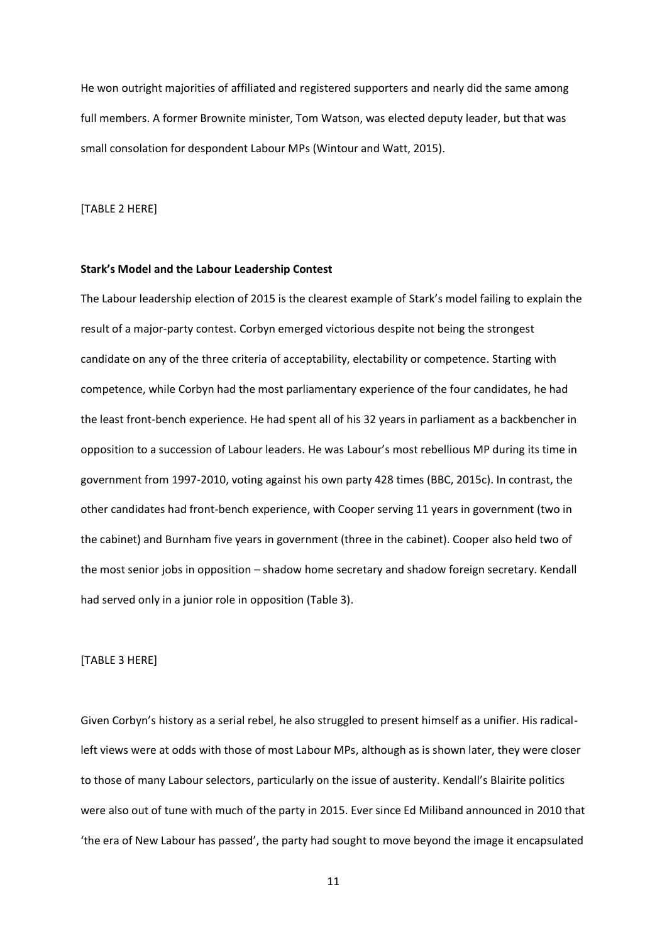He won outright majorities of affiliated and registered supporters and nearly did the same among full members. A former Brownite minister, Tom Watson, was elected deputy leader, but that was small consolation for despondent Labour MPs (Wintour and Watt, 2015).

[TABLE 2 HERE]

#### **Stark's Model and the Labour Leadership Contest**

The Labour leadership election of 2015 is the clearest example of Stark's model failing to explain the result of a major-party contest. Corbyn emerged victorious despite not being the strongest candidate on any of the three criteria of acceptability, electability or competence. Starting with competence, while Corbyn had the most parliamentary experience of the four candidates, he had the least front-bench experience. He had spent all of his 32 years in parliament as a backbencher in opposition to a succession of Labour leaders. He was Labour's most rebellious MP during its time in government from 1997-2010, voting against his own party 428 times (BBC, 2015c). In contrast, the other candidates had front-bench experience, with Cooper serving 11 years in government (two in the cabinet) and Burnham five years in government (three in the cabinet). Cooper also held two of the most senior jobs in opposition – shadow home secretary and shadow foreign secretary. Kendall had served only in a junior role in opposition (Table 3).

#### [TABLE 3 HERE]

Given Corbyn's history as a serial rebel, he also struggled to present himself as a unifier. His radicalleft views were at odds with those of most Labour MPs, although as is shown later, they were closer to those of many Labour selectors, particularly on the issue of austerity. Kendall's Blairite politics were also out of tune with much of the party in 2015. Ever since Ed Miliband announced in 2010 that 'the era of New Labour has passed', the party had sought to move beyond the image it encapsulated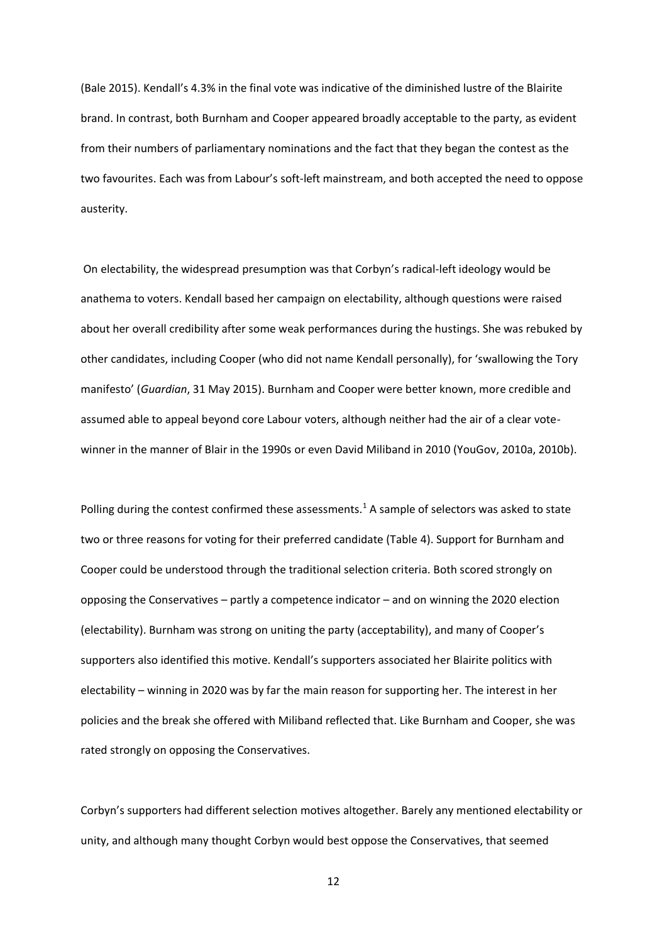(Bale 2015). Kendall's 4.3% in the final vote was indicative of the diminished lustre of the Blairite brand. In contrast, both Burnham and Cooper appeared broadly acceptable to the party, as evident from their numbers of parliamentary nominations and the fact that they began the contest as the two favourites. Each was from Labour's soft-left mainstream, and both accepted the need to oppose austerity.

On electability, the widespread presumption was that Corbyn's radical-left ideology would be anathema to voters. Kendall based her campaign on electability, although questions were raised about her overall credibility after some weak performances during the hustings. She was rebuked by other candidates, including Cooper (who did not name Kendall personally), for 'swallowing the Tory manifesto' (*Guardian*, 31 May 2015). Burnham and Cooper were better known, more credible and assumed able to appeal beyond core Labour voters, although neither had the air of a clear votewinner in the manner of Blair in the 1990s or even David Miliband in 2010 (YouGov, 2010a, 2010b).

Polling during the contest confirmed these assessments.<sup>1</sup> A sample of selectors was asked to state two or three reasons for voting for their preferred candidate (Table 4). Support for Burnham and Cooper could be understood through the traditional selection criteria. Both scored strongly on opposing the Conservatives – partly a competence indicator – and on winning the 2020 election (electability). Burnham was strong on uniting the party (acceptability), and many of Cooper's supporters also identified this motive. Kendall's supporters associated her Blairite politics with electability – winning in 2020 was by far the main reason for supporting her. The interest in her policies and the break she offered with Miliband reflected that. Like Burnham and Cooper, she was rated strongly on opposing the Conservatives.

Corbyn's supporters had different selection motives altogether. Barely any mentioned electability or unity, and although many thought Corbyn would best oppose the Conservatives, that seemed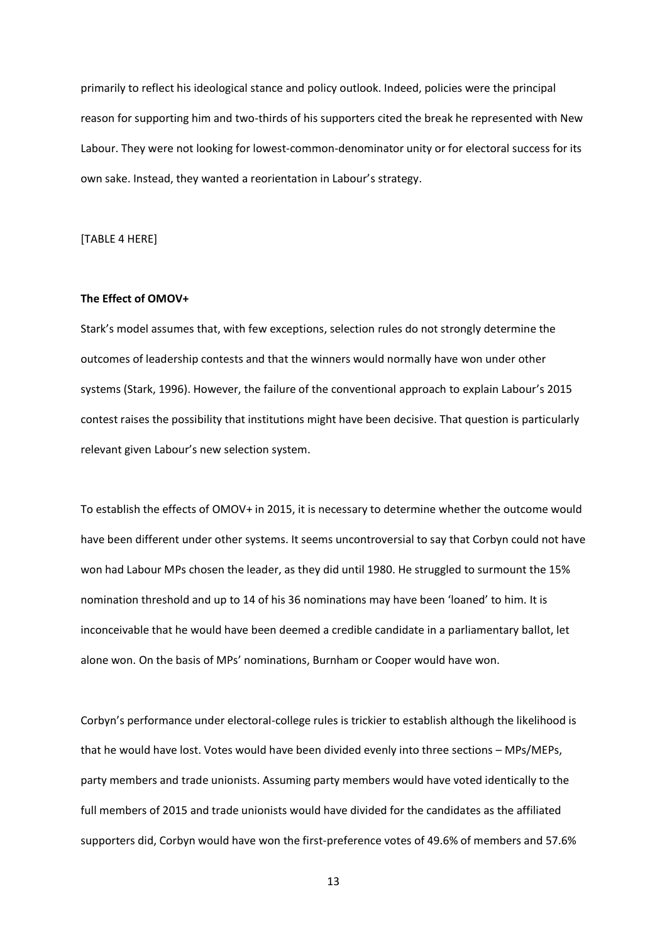primarily to reflect his ideological stance and policy outlook. Indeed, policies were the principal reason for supporting him and two-thirds of his supporters cited the break he represented with New Labour. They were not looking for lowest-common-denominator unity or for electoral success for its own sake. Instead, they wanted a reorientation in Labour's strategy.

[TABLE 4 HERE]

#### **The Effect of OMOV+**

Stark's model assumes that, with few exceptions, selection rules do not strongly determine the outcomes of leadership contests and that the winners would normally have won under other systems (Stark, 1996). However, the failure of the conventional approach to explain Labour's 2015 contest raises the possibility that institutions might have been decisive. That question is particularly relevant given Labour's new selection system.

To establish the effects of OMOV+ in 2015, it is necessary to determine whether the outcome would have been different under other systems. It seems uncontroversial to say that Corbyn could not have won had Labour MPs chosen the leader, as they did until 1980. He struggled to surmount the 15% nomination threshold and up to 14 of his 36 nominations may have been 'loaned' to him. It is inconceivable that he would have been deemed a credible candidate in a parliamentary ballot, let alone won. On the basis of MPs' nominations, Burnham or Cooper would have won.

Corbyn's performance under electoral-college rules is trickier to establish although the likelihood is that he would have lost. Votes would have been divided evenly into three sections – MPs/MEPs, party members and trade unionists. Assuming party members would have voted identically to the full members of 2015 and trade unionists would have divided for the candidates as the affiliated supporters did, Corbyn would have won the first-preference votes of 49.6% of members and 57.6%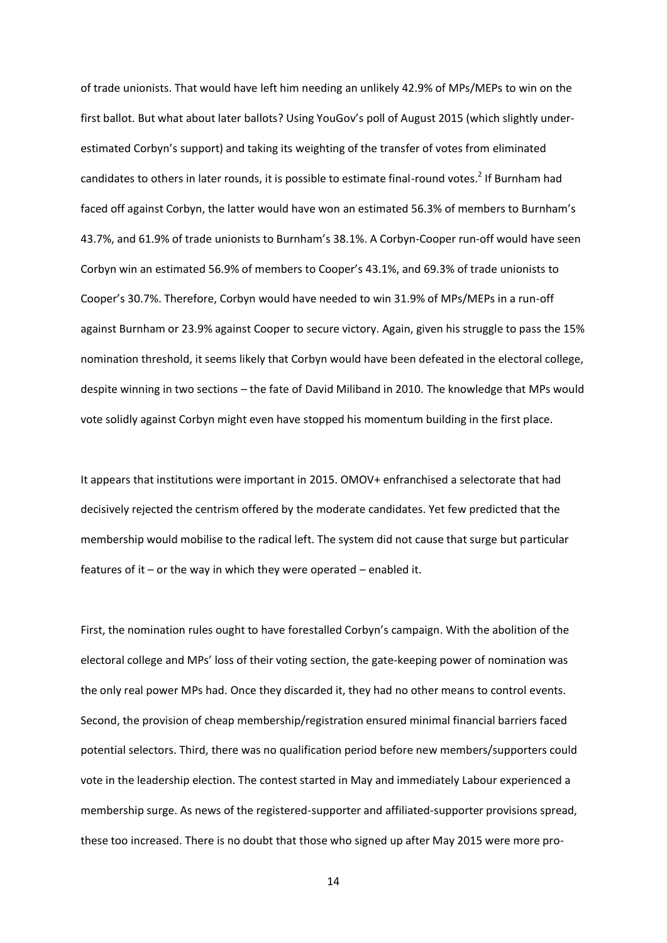of trade unionists. That would have left him needing an unlikely 42.9% of MPs/MEPs to win on the first ballot. But what about later ballots? Using YouGov's poll of August 2015 (which slightly underestimated Corbyn's support) and taking its weighting of the transfer of votes from eliminated candidates to others in later rounds, it is possible to estimate final-round votes.<sup>2</sup> If Burnham had faced off against Corbyn, the latter would have won an estimated 56.3% of members to Burnham's 43.7%, and 61.9% of trade unionists to Burnham's 38.1%. A Corbyn-Cooper run-off would have seen Corbyn win an estimated 56.9% of members to Cooper's 43.1%, and 69.3% of trade unionists to Cooper's 30.7%. Therefore, Corbyn would have needed to win 31.9% of MPs/MEPs in a run-off against Burnham or 23.9% against Cooper to secure victory. Again, given his struggle to pass the 15% nomination threshold, it seems likely that Corbyn would have been defeated in the electoral college, despite winning in two sections – the fate of David Miliband in 2010. The knowledge that MPs would vote solidly against Corbyn might even have stopped his momentum building in the first place.

It appears that institutions were important in 2015. OMOV+ enfranchised a selectorate that had decisively rejected the centrism offered by the moderate candidates. Yet few predicted that the membership would mobilise to the radical left. The system did not cause that surge but particular features of it – or the way in which they were operated – enabled it.

First, the nomination rules ought to have forestalled Corbyn's campaign. With the abolition of the electoral college and MPs' loss of their voting section, the gate-keeping power of nomination was the only real power MPs had. Once they discarded it, they had no other means to control events. Second, the provision of cheap membership/registration ensured minimal financial barriers faced potential selectors. Third, there was no qualification period before new members/supporters could vote in the leadership election. The contest started in May and immediately Labour experienced a membership surge. As news of the registered-supporter and affiliated-supporter provisions spread, these too increased. There is no doubt that those who signed up after May 2015 were more pro-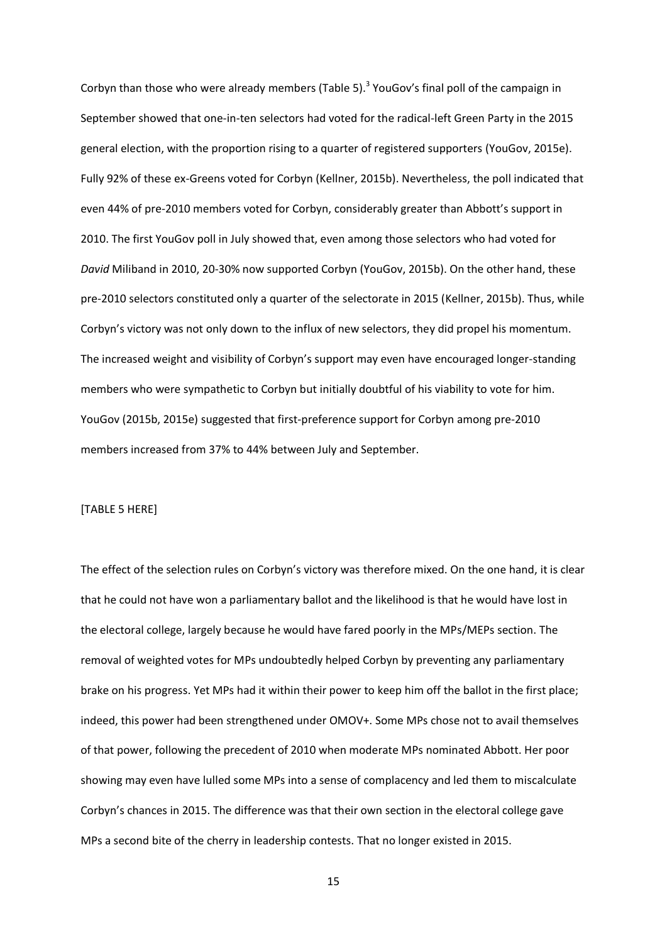Corbyn than those who were already members (Table 5). $3$  YouGov's final poll of the campaign in September showed that one-in-ten selectors had voted for the radical-left Green Party in the 2015 general election, with the proportion rising to a quarter of registered supporters (YouGov, 2015e). Fully 92% of these ex-Greens voted for Corbyn (Kellner, 2015b). Nevertheless, the poll indicated that even 44% of pre-2010 members voted for Corbyn, considerably greater than Abbott's support in 2010. The first YouGov poll in July showed that, even among those selectors who had voted for *David* Miliband in 2010, 20-30% now supported Corbyn (YouGov, 2015b). On the other hand, these pre-2010 selectors constituted only a quarter of the selectorate in 2015 (Kellner, 2015b). Thus, while Corbyn's victory was not only down to the influx of new selectors, they did propel his momentum. The increased weight and visibility of Corbyn's support may even have encouraged longer-standing members who were sympathetic to Corbyn but initially doubtful of his viability to vote for him. YouGov (2015b, 2015e) suggested that first-preference support for Corbyn among pre-2010 members increased from 37% to 44% between July and September.

#### [TABLE 5 HERE]

The effect of the selection rules on Corbyn's victory was therefore mixed. On the one hand, it is clear that he could not have won a parliamentary ballot and the likelihood is that he would have lost in the electoral college, largely because he would have fared poorly in the MPs/MEPs section. The removal of weighted votes for MPs undoubtedly helped Corbyn by preventing any parliamentary brake on his progress. Yet MPs had it within their power to keep him off the ballot in the first place; indeed, this power had been strengthened under OMOV+. Some MPs chose not to avail themselves of that power, following the precedent of 2010 when moderate MPs nominated Abbott. Her poor showing may even have lulled some MPs into a sense of complacency and led them to miscalculate Corbyn's chances in 2015. The difference was that their own section in the electoral college gave MPs a second bite of the cherry in leadership contests. That no longer existed in 2015.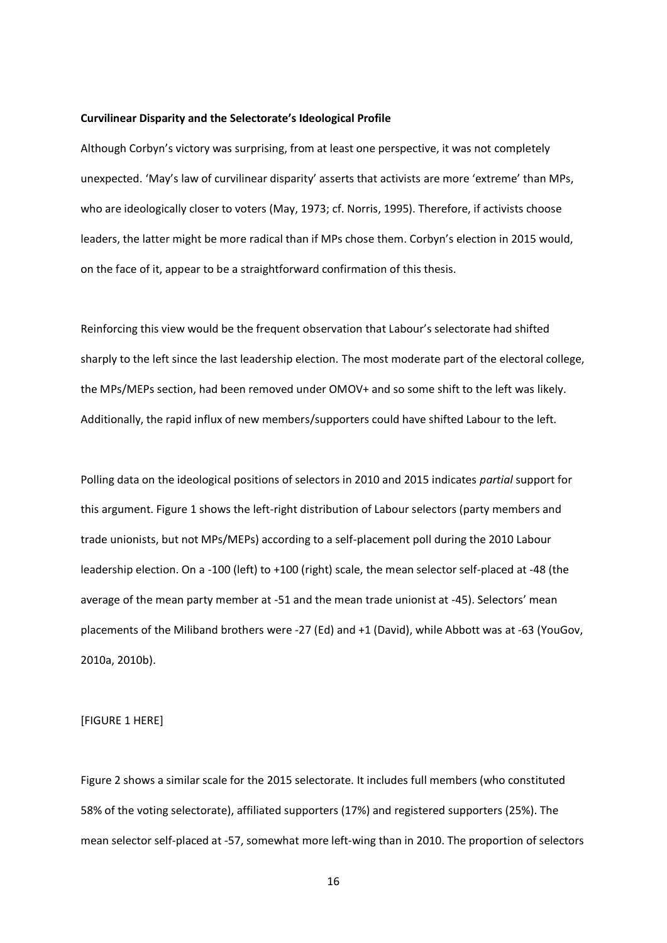#### **Curvilinear Disparity and the Selectorate's Ideological Profile**

Although Corbyn's victory was surprising, from at least one perspective, it was not completely unexpected. 'May's law of curvilinear disparity' asserts that activists are more 'extreme' than MPs, who are ideologically closer to voters (May, 1973; cf. Norris, 1995). Therefore, if activists choose leaders, the latter might be more radical than if MPs chose them. Corbyn's election in 2015 would, on the face of it, appear to be a straightforward confirmation of this thesis.

Reinforcing this view would be the frequent observation that Labour's selectorate had shifted sharply to the left since the last leadership election. The most moderate part of the electoral college, the MPs/MEPs section, had been removed under OMOV+ and so some shift to the left was likely. Additionally, the rapid influx of new members/supporters could have shifted Labour to the left.

Polling data on the ideological positions of selectors in 2010 and 2015 indicates *partial* support for this argument. Figure 1 shows the left-right distribution of Labour selectors (party members and trade unionists, but not MPs/MEPs) according to a self-placement poll during the 2010 Labour leadership election. On a -100 (left) to +100 (right) scale, the mean selector self-placed at -48 (the average of the mean party member at -51 and the mean trade unionist at -45). Selectors' mean placements of the Miliband brothers were -27 (Ed) and +1 (David), while Abbott was at -63 (YouGov, 2010a, 2010b).

[FIGURE 1 HERE]

Figure 2 shows a similar scale for the 2015 selectorate. It includes full members (who constituted 58% of the voting selectorate), affiliated supporters (17%) and registered supporters (25%). The mean selector self-placed at -57, somewhat more left-wing than in 2010. The proportion of selectors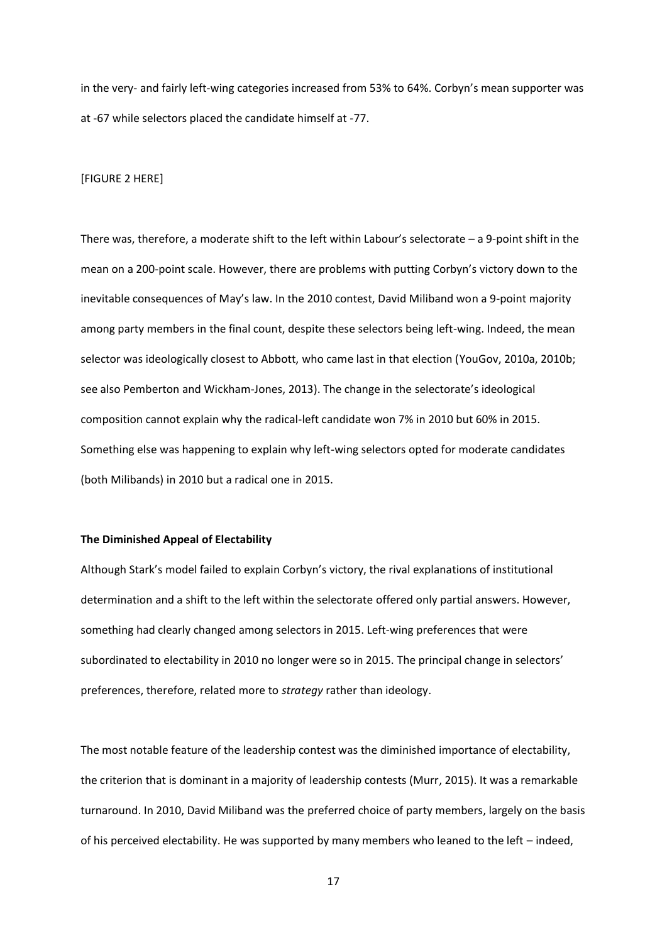in the very- and fairly left-wing categories increased from 53% to 64%. Corbyn's mean supporter was at -67 while selectors placed the candidate himself at -77.

#### [FIGURE 2 HERE]

There was, therefore, a moderate shift to the left within Labour's selectorate – a 9-point shift in the mean on a 200-point scale. However, there are problems with putting Corbyn's victory down to the inevitable consequences of May's law. In the 2010 contest, David Miliband won a 9-point majority among party members in the final count, despite these selectors being left-wing. Indeed, the mean selector was ideologically closest to Abbott, who came last in that election (YouGov, 2010a, 2010b; see also Pemberton and Wickham-Jones, 2013). The change in the selectorate's ideological composition cannot explain why the radical-left candidate won 7% in 2010 but 60% in 2015. Something else was happening to explain why left-wing selectors opted for moderate candidates (both Milibands) in 2010 but a radical one in 2015.

#### **The Diminished Appeal of Electability**

Although Stark's model failed to explain Corbyn's victory, the rival explanations of institutional determination and a shift to the left within the selectorate offered only partial answers. However, something had clearly changed among selectors in 2015. Left-wing preferences that were subordinated to electability in 2010 no longer were so in 2015. The principal change in selectors' preferences, therefore, related more to *strategy* rather than ideology.

The most notable feature of the leadership contest was the diminished importance of electability, the criterion that is dominant in a majority of leadership contests (Murr, 2015). It was a remarkable turnaround. In 2010, David Miliband was the preferred choice of party members, largely on the basis of his perceived electability. He was supported by many members who leaned to the left – indeed,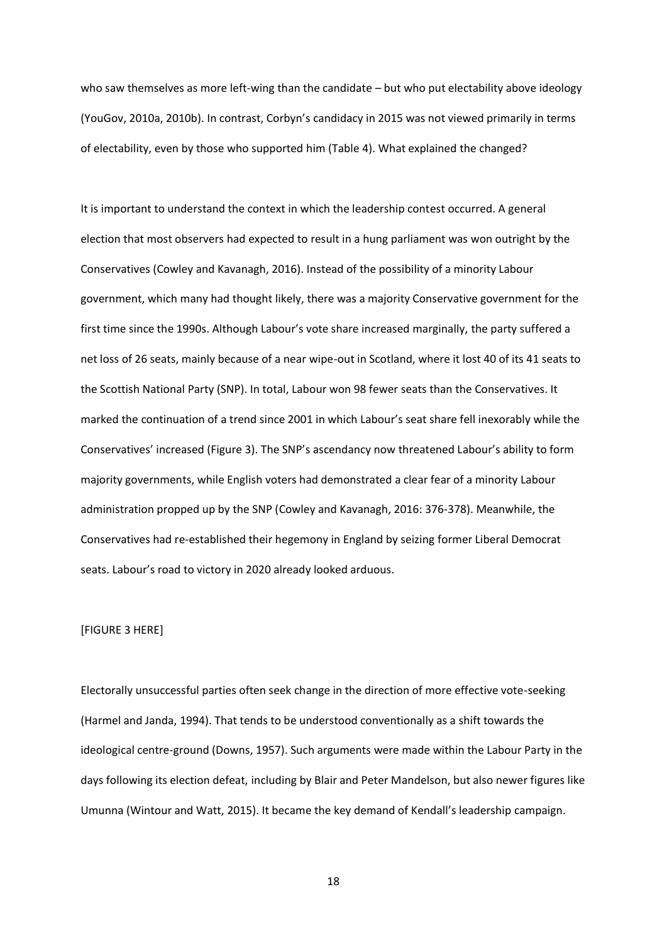who saw themselves as more left-wing than the candidate – but who put electability above ideology (YouGov, 2010a, 2010b). In contrast, Corbyn's candidacy in 2015 was not viewed primarily in terms of electability, even by those who supported him (Table 4). What explained the changed?

It is important to understand the context in which the leadership contest occurred. A general election that most observers had expected to result in a hung parliament was won outright by the Conservatives (Cowley and Kavanagh, 2016). Instead of the possibility of a minority Labour government, which many had thought likely, there was a majority Conservative government for the first time since the 1990s. Although Labour's vote share increased marginally, the party suffered a net loss of 26 seats, mainly because of a near wipe-out in Scotland, where it lost 40 of its 41 seats to the Scottish National Party (SNP). In total, Labour won 98 fewer seats than the Conservatives. It marked the continuation of a trend since 2001 in which Labour's seat share fell inexorably while the Conservatives' increased (Figure 3). The SNP's ascendancy now threatened Labour's ability to form majority governments, while English voters had demonstrated a clear fear of a minority Labour administration propped up by the SNP (Cowley and Kavanagh, 2016: 376-378). Meanwhile, the Conservatives had re-established their hegemony in England by seizing former Liberal Democrat seats. Labour's road to victory in 2020 already looked arduous.

# [FIGURE 3 HERE]

Electorally unsuccessful parties often seek change in the direction of more effective vote-seeking (Harmel and Janda, 1994). That tends to be understood conventionally as a shift towards the ideological centre-ground (Downs, 1957). Such arguments were made within the Labour Party in the days following its election defeat, including by Blair and Peter Mandelson, but also newer figures like Umunna (Wintour and Watt, 2015). It became the key demand of Kendall's leadership campaign.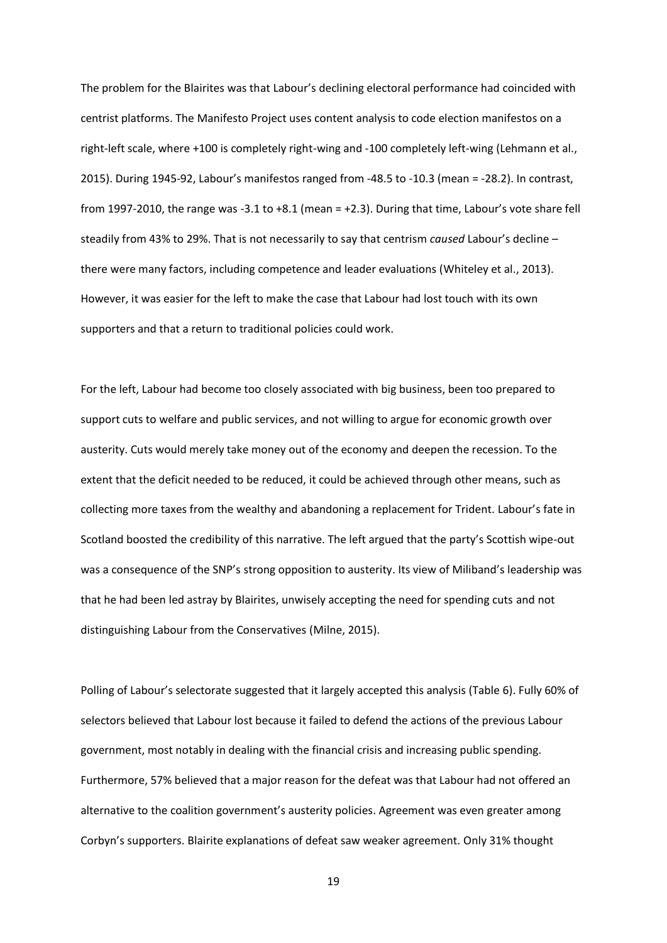The problem for the Blairites was that Labour's declining electoral performance had coincided with centrist platforms. The Manifesto Project uses content analysis to code election manifestos on a right-left scale, where +100 is completely right-wing and -100 completely left-wing (Lehmann et al., 2015). During 1945-92, Labour's manifestos ranged from -48.5 to -10.3 (mean = -28.2). In contrast, from 1997-2010, the range was -3.1 to +8.1 (mean = +2.3). During that time, Labour's vote share fell steadily from 43% to 29%. That is not necessarily to say that centrism *caused* Labour's decline – there were many factors, including competence and leader evaluations (Whiteley et al., 2013). However, it was easier for the left to make the case that Labour had lost touch with its own supporters and that a return to traditional policies could work.

For the left, Labour had become too closely associated with big business, been too prepared to support cuts to welfare and public services, and not willing to argue for economic growth over austerity. Cuts would merely take money out of the economy and deepen the recession. To the extent that the deficit needed to be reduced, it could be achieved through other means, such as collecting more taxes from the wealthy and abandoning a replacement for Trident. Labour's fate in Scotland boosted the credibility of this narrative. The left argued that the party's Scottish wipe-out was a consequence of the SNP's strong opposition to austerity. Its view of Miliband's leadership was that he had been led astray by Blairites, unwisely accepting the need for spending cuts and not distinguishing Labour from the Conservatives (Milne, 2015).

Polling of Labour's selectorate suggested that it largely accepted this analysis (Table 6). Fully 60% of selectors believed that Labour lost because it failed to defend the actions of the previous Labour government, most notably in dealing with the financial crisis and increasing public spending. Furthermore, 57% believed that a major reason for the defeat was that Labour had not offered an alternative to the coalition government's austerity policies. Agreement was even greater among Corbyn's supporters. Blairite explanations of defeat saw weaker agreement. Only 31% thought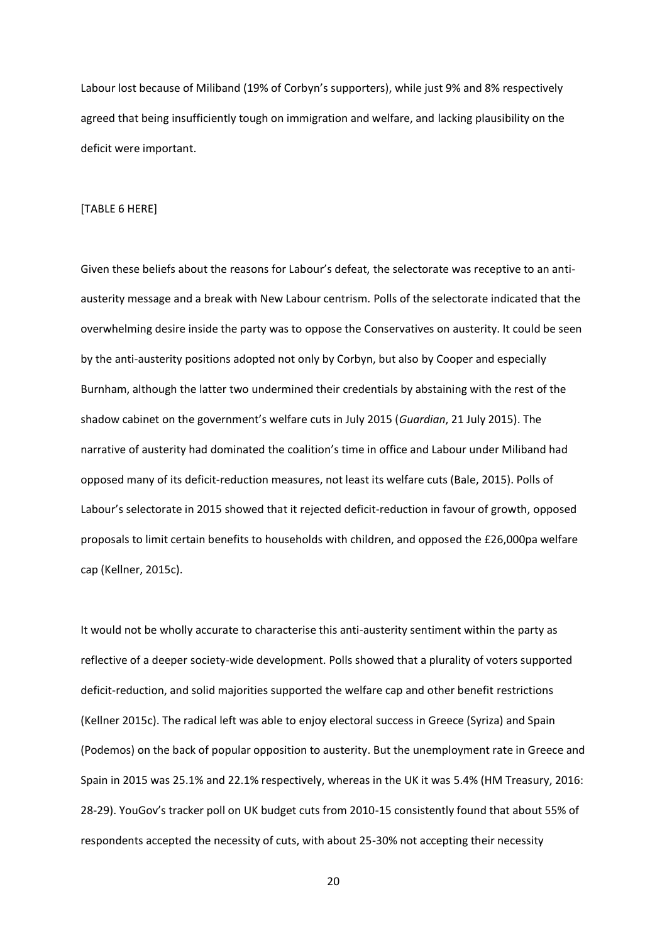Labour lost because of Miliband (19% of Corbyn's supporters), while just 9% and 8% respectively agreed that being insufficiently tough on immigration and welfare, and lacking plausibility on the deficit were important.

#### [TABLE 6 HERE]

Given these beliefs about the reasons for Labour's defeat, the selectorate was receptive to an antiausterity message and a break with New Labour centrism. Polls of the selectorate indicated that the overwhelming desire inside the party was to oppose the Conservatives on austerity. It could be seen by the anti-austerity positions adopted not only by Corbyn, but also by Cooper and especially Burnham, although the latter two undermined their credentials by abstaining with the rest of the shadow cabinet on the government's welfare cuts in July 2015 (*Guardian*, 21 July 2015). The narrative of austerity had dominated the coalition's time in office and Labour under Miliband had opposed many of its deficit-reduction measures, not least its welfare cuts (Bale, 2015). Polls of Labour's selectorate in 2015 showed that it rejected deficit-reduction in favour of growth, opposed proposals to limit certain benefits to households with children, and opposed the £26,000pa welfare cap (Kellner, 2015c).

It would not be wholly accurate to characterise this anti-austerity sentiment within the party as reflective of a deeper society-wide development. Polls showed that a plurality of voters supported deficit-reduction, and solid majorities supported the welfare cap and other benefit restrictions (Kellner 2015c). The radical left was able to enjoy electoral success in Greece (Syriza) and Spain (Podemos) on the back of popular opposition to austerity. But the unemployment rate in Greece and Spain in 2015 was 25.1% and 22.1% respectively, whereas in the UK it was 5.4% (HM Treasury, 2016: 28-29). YouGov's tracker poll on UK budget cuts from 2010-15 consistently found that about 55% of respondents accepted the necessity of cuts, with about 25-30% not accepting their necessity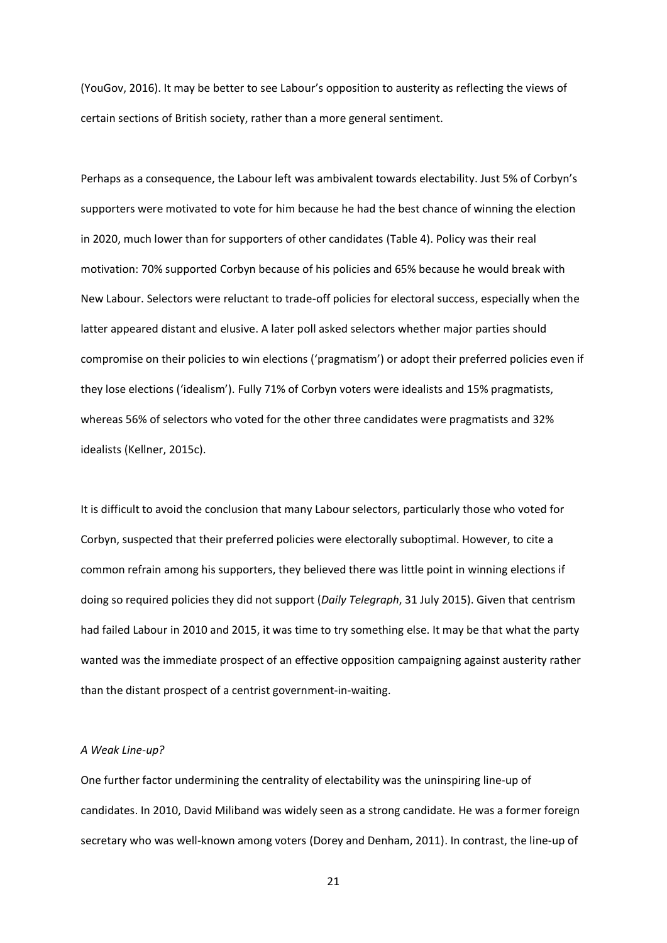(YouGov, 2016). It may be better to see Labour's opposition to austerity as reflecting the views of certain sections of British society, rather than a more general sentiment.

Perhaps as a consequence, the Labour left was ambivalent towards electability. Just 5% of Corbyn's supporters were motivated to vote for him because he had the best chance of winning the election in 2020, much lower than for supporters of other candidates (Table 4). Policy was their real motivation: 70% supported Corbyn because of his policies and 65% because he would break with New Labour. Selectors were reluctant to trade-off policies for electoral success, especially when the latter appeared distant and elusive. A later poll asked selectors whether major parties should compromise on their policies to win elections ('pragmatism') or adopt their preferred policies even if they lose elections ('idealism'). Fully 71% of Corbyn voters were idealists and 15% pragmatists, whereas 56% of selectors who voted for the other three candidates were pragmatists and 32% idealists (Kellner, 2015c).

It is difficult to avoid the conclusion that many Labour selectors, particularly those who voted for Corbyn, suspected that their preferred policies were electorally suboptimal. However, to cite a common refrain among his supporters, they believed there was little point in winning elections if doing so required policies they did not support (*Daily Telegraph*, 31 July 2015). Given that centrism had failed Labour in 2010 and 2015, it was time to try something else. It may be that what the party wanted was the immediate prospect of an effective opposition campaigning against austerity rather than the distant prospect of a centrist government-in-waiting.

#### *A Weak Line-up?*

One further factor undermining the centrality of electability was the uninspiring line-up of candidates. In 2010, David Miliband was widely seen as a strong candidate. He was a former foreign secretary who was well-known among voters (Dorey and Denham, 2011). In contrast, the line-up of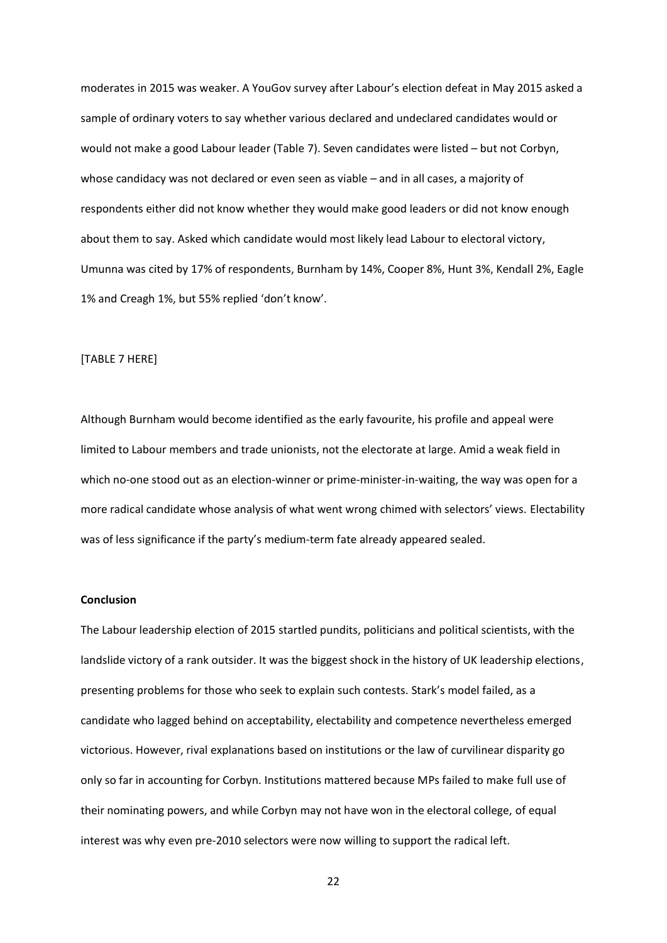moderates in 2015 was weaker. A YouGov survey after Labour's election defeat in May 2015 asked a sample of ordinary voters to say whether various declared and undeclared candidates would or would not make a good Labour leader (Table 7). Seven candidates were listed – but not Corbyn, whose candidacy was not declared or even seen as viable – and in all cases, a majority of respondents either did not know whether they would make good leaders or did not know enough about them to say. Asked which candidate would most likely lead Labour to electoral victory, Umunna was cited by 17% of respondents, Burnham by 14%, Cooper 8%, Hunt 3%, Kendall 2%, Eagle 1% and Creagh 1%, but 55% replied 'don't know'.

#### [TABLE 7 HERE]

Although Burnham would become identified as the early favourite, his profile and appeal were limited to Labour members and trade unionists, not the electorate at large. Amid a weak field in which no-one stood out as an election-winner or prime-minister-in-waiting, the way was open for a more radical candidate whose analysis of what went wrong chimed with selectors' views. Electability was of less significance if the party's medium-term fate already appeared sealed.

#### **Conclusion**

The Labour leadership election of 2015 startled pundits, politicians and political scientists, with the landslide victory of a rank outsider. It was the biggest shock in the history of UK leadership elections, presenting problems for those who seek to explain such contests. Stark's model failed, as a candidate who lagged behind on acceptability, electability and competence nevertheless emerged victorious. However, rival explanations based on institutions or the law of curvilinear disparity go only so far in accounting for Corbyn. Institutions mattered because MPs failed to make full use of their nominating powers, and while Corbyn may not have won in the electoral college, of equal interest was why even pre-2010 selectors were now willing to support the radical left.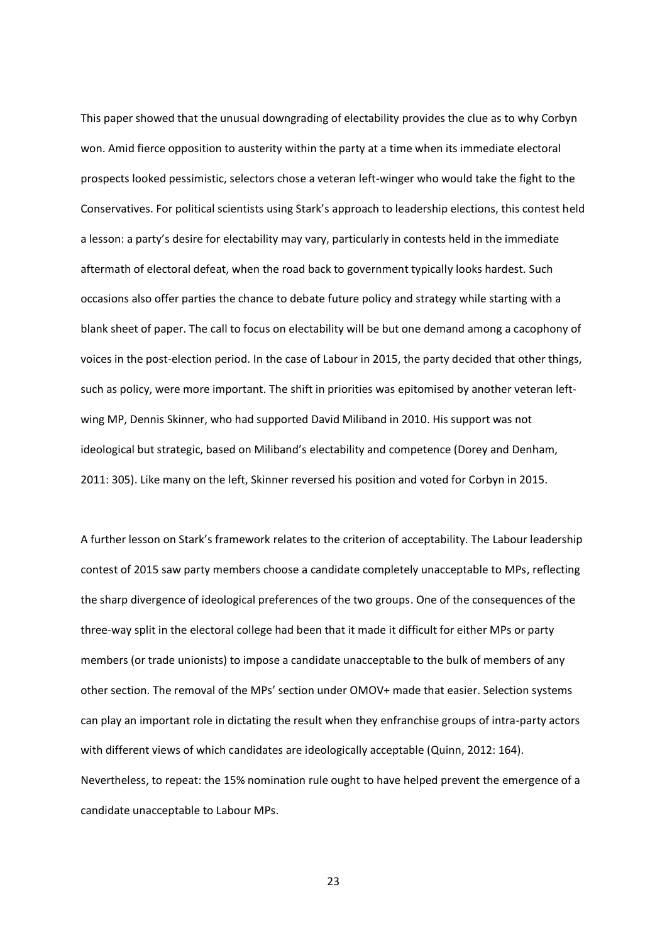This paper showed that the unusual downgrading of electability provides the clue as to why Corbyn won. Amid fierce opposition to austerity within the party at a time when its immediate electoral prospects looked pessimistic, selectors chose a veteran left-winger who would take the fight to the Conservatives. For political scientists using Stark's approach to leadership elections, this contest held a lesson: a party's desire for electability may vary, particularly in contests held in the immediate aftermath of electoral defeat, when the road back to government typically looks hardest. Such occasions also offer parties the chance to debate future policy and strategy while starting with a blank sheet of paper. The call to focus on electability will be but one demand among a cacophony of voices in the post-election period. In the case of Labour in 2015, the party decided that other things, such as policy, were more important. The shift in priorities was epitomised by another veteran leftwing MP, Dennis Skinner, who had supported David Miliband in 2010. His support was not ideological but strategic, based on Miliband's electability and competence (Dorey and Denham, 2011: 305). Like many on the left, Skinner reversed his position and voted for Corbyn in 2015.

A further lesson on Stark's framework relates to the criterion of acceptability. The Labour leadership contest of 2015 saw party members choose a candidate completely unacceptable to MPs, reflecting the sharp divergence of ideological preferences of the two groups. One of the consequences of the three-way split in the electoral college had been that it made it difficult for either MPs or party members (or trade unionists) to impose a candidate unacceptable to the bulk of members of any other section. The removal of the MPs' section under OMOV+ made that easier. Selection systems can play an important role in dictating the result when they enfranchise groups of intra-party actors with different views of which candidates are ideologically acceptable (Quinn, 2012: 164). Nevertheless, to repeat: the 15% nomination rule ought to have helped prevent the emergence of a candidate unacceptable to Labour MPs.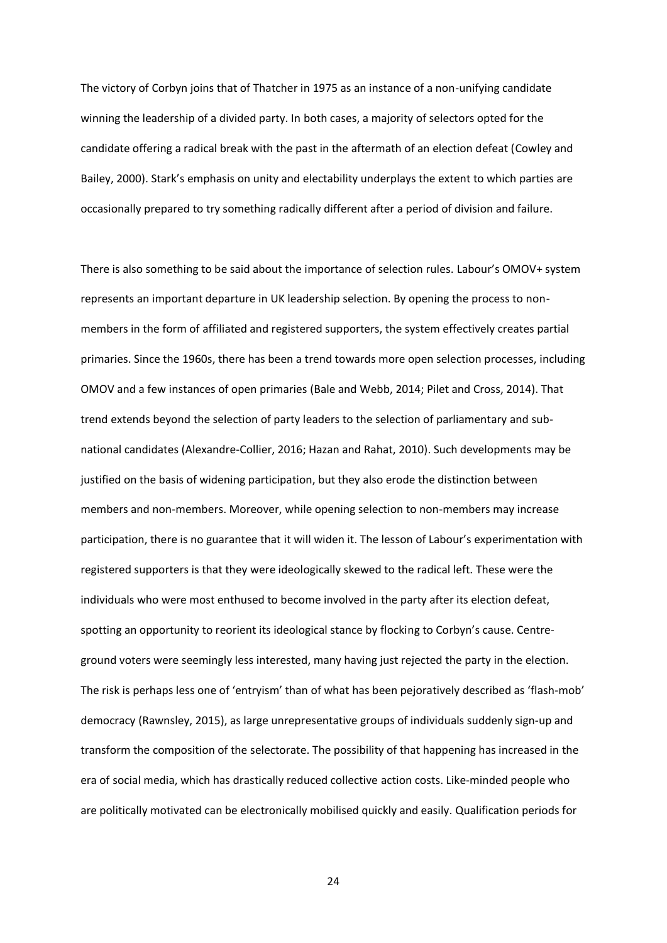The victory of Corbyn joins that of Thatcher in 1975 as an instance of a non-unifying candidate winning the leadership of a divided party. In both cases, a majority of selectors opted for the candidate offering a radical break with the past in the aftermath of an election defeat (Cowley and Bailey, 2000). Stark's emphasis on unity and electability underplays the extent to which parties are occasionally prepared to try something radically different after a period of division and failure.

There is also something to be said about the importance of selection rules. Labour's OMOV+ system represents an important departure in UK leadership selection. By opening the process to nonmembers in the form of affiliated and registered supporters, the system effectively creates partial primaries. Since the 1960s, there has been a trend towards more open selection processes, including OMOV and a few instances of open primaries (Bale and Webb, 2014; Pilet and Cross, 2014). That trend extends beyond the selection of party leaders to the selection of parliamentary and subnational candidates (Alexandre-Collier, 2016; Hazan and Rahat, 2010). Such developments may be justified on the basis of widening participation, but they also erode the distinction between members and non-members. Moreover, while opening selection to non-members may increase participation, there is no guarantee that it will widen it. The lesson of Labour's experimentation with registered supporters is that they were ideologically skewed to the radical left. These were the individuals who were most enthused to become involved in the party after its election defeat, spotting an opportunity to reorient its ideological stance by flocking to Corbyn's cause. Centreground voters were seemingly less interested, many having just rejected the party in the election. The risk is perhaps less one of 'entryism' than of what has been pejoratively described as 'flash-mob' democracy (Rawnsley, 2015), as large unrepresentative groups of individuals suddenly sign-up and transform the composition of the selectorate. The possibility of that happening has increased in the era of social media, which has drastically reduced collective action costs. Like-minded people who are politically motivated can be electronically mobilised quickly and easily. Qualification periods for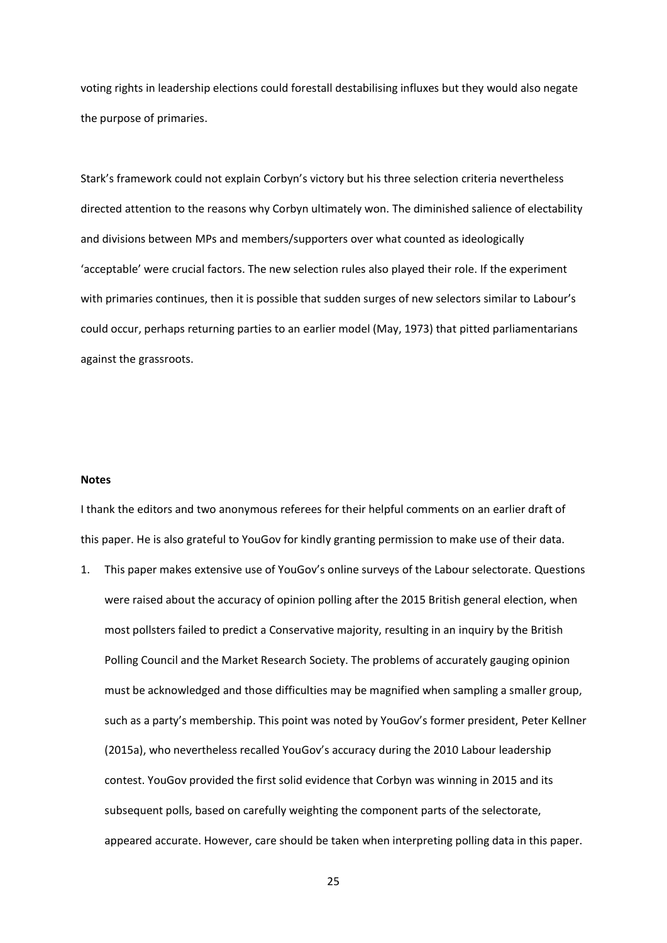voting rights in leadership elections could forestall destabilising influxes but they would also negate the purpose of primaries.

Stark's framework could not explain Corbyn's victory but his three selection criteria nevertheless directed attention to the reasons why Corbyn ultimately won. The diminished salience of electability and divisions between MPs and members/supporters over what counted as ideologically 'acceptable' were crucial factors. The new selection rules also played their role. If the experiment with primaries continues, then it is possible that sudden surges of new selectors similar to Labour's could occur, perhaps returning parties to an earlier model (May, 1973) that pitted parliamentarians against the grassroots.

#### **Notes**

I thank the editors and two anonymous referees for their helpful comments on an earlier draft of this paper. He is also grateful to YouGov for kindly granting permission to make use of their data.

1. This paper makes extensive use of YouGov's online surveys of the Labour selectorate. Questions were raised about the accuracy of opinion polling after the 2015 British general election, when most pollsters failed to predict a Conservative majority, resulting in an inquiry by the British Polling Council and the Market Research Society. The problems of accurately gauging opinion must be acknowledged and those difficulties may be magnified when sampling a smaller group, such as a party's membership. This point was noted by YouGov's former president, Peter Kellner (2015a), who nevertheless recalled YouGov's accuracy during the 2010 Labour leadership contest. YouGov provided the first solid evidence that Corbyn was winning in 2015 and its subsequent polls, based on carefully weighting the component parts of the selectorate, appeared accurate. However, care should be taken when interpreting polling data in this paper.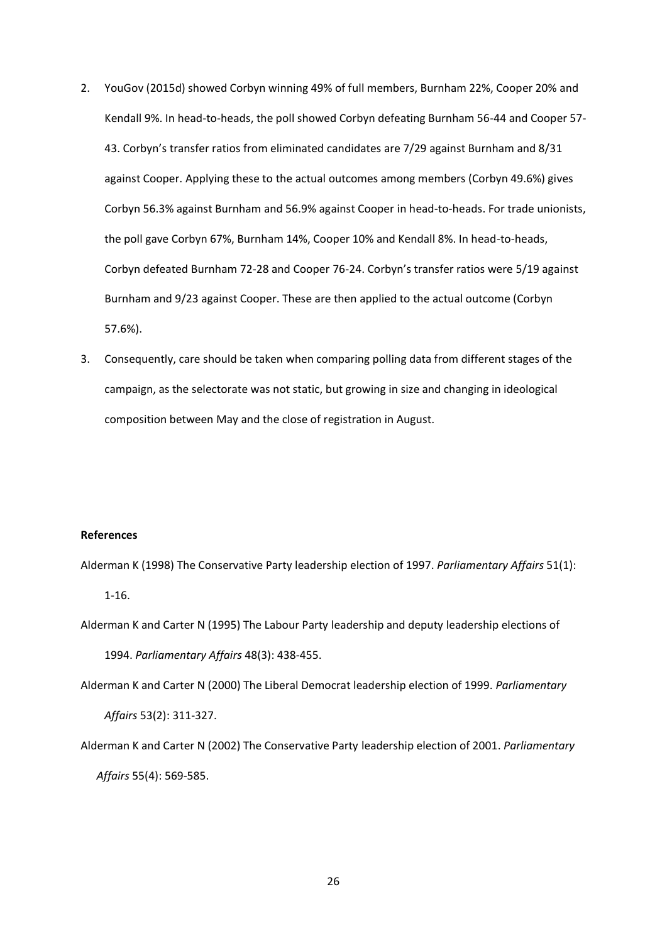- 2. YouGov (2015d) showed Corbyn winning 49% of full members, Burnham 22%, Cooper 20% and Kendall 9%. In head-to-heads, the poll showed Corbyn defeating Burnham 56-44 and Cooper 57- 43. Corbyn's transfer ratios from eliminated candidates are 7/29 against Burnham and 8/31 against Cooper. Applying these to the actual outcomes among members (Corbyn 49.6%) gives Corbyn 56.3% against Burnham and 56.9% against Cooper in head-to-heads. For trade unionists, the poll gave Corbyn 67%, Burnham 14%, Cooper 10% and Kendall 8%. In head-to-heads, Corbyn defeated Burnham 72-28 and Cooper 76-24. Corbyn's transfer ratios were 5/19 against Burnham and 9/23 against Cooper. These are then applied to the actual outcome (Corbyn 57.6%).
- 3. Consequently, care should be taken when comparing polling data from different stages of the campaign, as the selectorate was not static, but growing in size and changing in ideological composition between May and the close of registration in August.

# **References**

Alderman K (1998) The Conservative Party leadership election of 1997. *Parliamentary Affairs* 51(1): 1-16.

Alderman K and Carter N (1995) The Labour Party leadership and deputy leadership elections of 1994. *Parliamentary Affairs* 48(3): 438-455.

Alderman K and Carter N (2000) The Liberal Democrat leadership election of 1999. *Parliamentary* 

*Affairs* 53(2): 311-327.

Alderman K and Carter N (2002) The Conservative Party leadership election of 2001. *Parliamentary* 

*Affairs* 55(4): 569-585.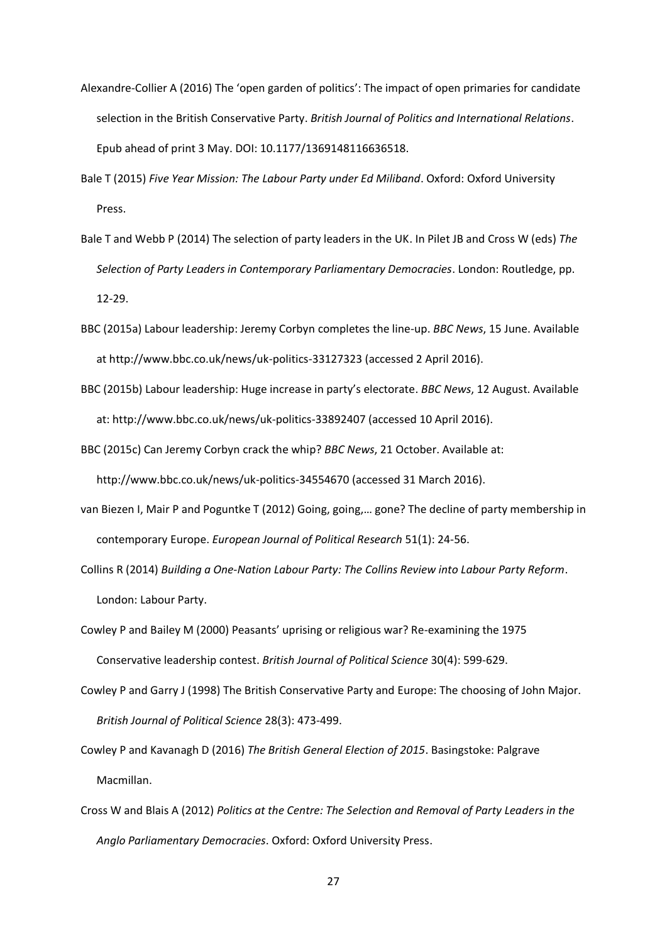- Alexandre-Collier A (2016) The 'open garden of politics': The impact of open primaries for candidate selection in the British Conservative Party. *British Journal of Politics and International Relations*. Epub ahead of print 3 May. DOI: 10.1177/1369148116636518.
- Bale T (2015) *Five Year Mission: The Labour Party under Ed Miliband*. Oxford: Oxford University Press.
- Bale T and Webb P (2014) The selection of party leaders in the UK. In Pilet JB and Cross W (eds) *The Selection of Party Leaders in Contemporary Parliamentary Democracies*. London: Routledge, pp. 12-29.
- BBC (2015a) Labour leadership: Jeremy Corbyn completes the line-up. *BBC News*, 15 June. Available at http://www.bbc.co.uk/news/uk-politics-33127323 (accessed 2 April 2016).
- BBC (2015b) Labour leadership: Huge increase in party's electorate. *BBC News*, 12 August. Available at: http://www.bbc.co.uk/news/uk-politics-33892407 (accessed 10 April 2016).
- BBC (2015c) Can Jeremy Corbyn crack the whip? *BBC News*, 21 October. Available at:

http://www.bbc.co.uk/news/uk-politics-34554670 (accessed 31 March 2016).

van Biezen I, Mair P and Poguntke T (2012) Going, going,… gone? The decline of party membership in contemporary Europe. *European Journal of Political Research* 51(1): 24-56.

Collins R (2014) *Building a One-Nation Labour Party: The Collins Review into Labour Party Reform*. London: Labour Party.

- Cowley P and Bailey M (2000) Peasants' uprising or religious war? Re-examining the 1975 Conservative leadership contest. *British Journal of Political Science* 30(4): 599-629.
- Cowley P and Garry J (1998) The British Conservative Party and Europe: The choosing of John Major. *British Journal of Political Science* 28(3): 473-499.
- Cowley P and Kavanagh D (2016) *The British General Election of 2015*. Basingstoke: Palgrave Macmillan.
- Cross W and Blais A (2012) *Politics at the Centre: The Selection and Removal of Party Leaders in the Anglo Parliamentary Democracies*. Oxford: Oxford University Press.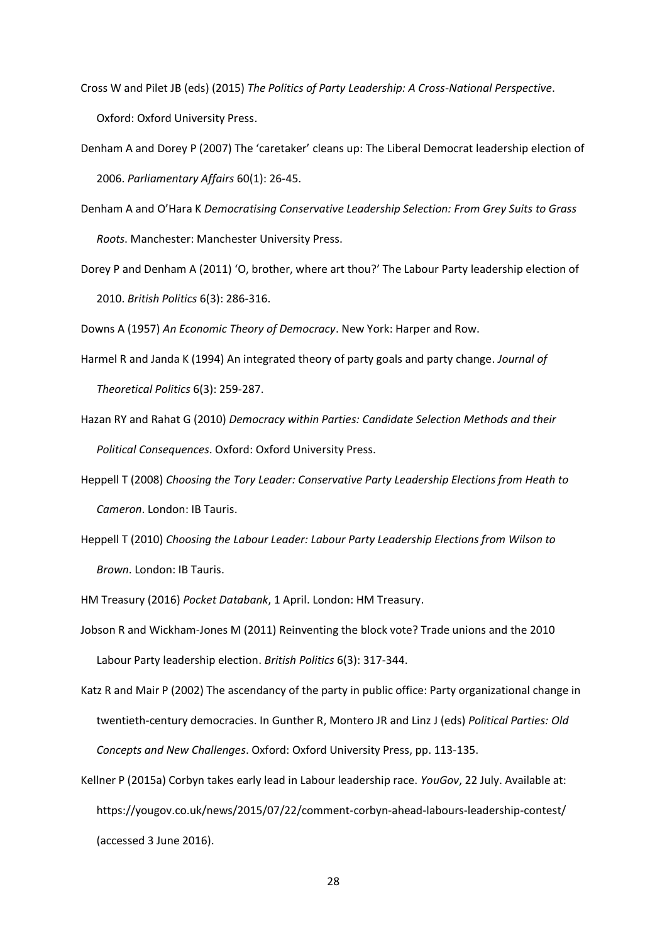- Cross W and Pilet JB (eds) (2015) *The Politics of Party Leadership: A Cross-National Perspective*. Oxford: Oxford University Press.
- Denham A and Dorey P (2007) The 'caretaker' cleans up: The Liberal Democrat leadership election of 2006. *Parliamentary Affairs* 60(1): 26-45.
- Denham A and O'Hara K *Democratising Conservative Leadership Selection: From Grey Suits to Grass Roots*. Manchester: Manchester University Press.
- Dorey P and Denham A (2011) 'O, brother, where art thou?' The Labour Party leadership election of 2010. *British Politics* 6(3): 286-316.

Downs A (1957) *An Economic Theory of Democracy*. New York: Harper and Row.

- Harmel R and Janda K (1994) An integrated theory of party goals and party change. *Journal of Theoretical Politics* 6(3): 259-287.
- Hazan RY and Rahat G (2010) *Democracy within Parties: Candidate Selection Methods and their Political Consequences*. Oxford: Oxford University Press.
- Heppell T (2008) *Choosing the Tory Leader: Conservative Party Leadership Elections from Heath to Cameron*. London: IB Tauris.
- Heppell T (2010) *Choosing the Labour Leader: Labour Party Leadership Elections from Wilson to Brown*. London: IB Tauris.
- HM Treasury (2016) *Pocket Databank*, 1 April. London: HM Treasury.
- Jobson R and Wickham-Jones M (2011) Reinventing the block vote? Trade unions and the 2010 Labour Party leadership election. *British Politics* 6(3): 317-344.
- Katz R and Mair P (2002) The ascendancy of the party in public office: Party organizational change in twentieth-century democracies. In Gunther R, Montero JR and Linz J (eds) *Political Parties: Old Concepts and New Challenges*. Oxford: Oxford University Press, pp. 113-135.
- Kellner P (2015a) Corbyn takes early lead in Labour leadership race. *YouGov*, 22 July. Available at: https://yougov.co.uk/news/2015/07/22/comment-corbyn-ahead-labours-leadership-contest/ (accessed 3 June 2016).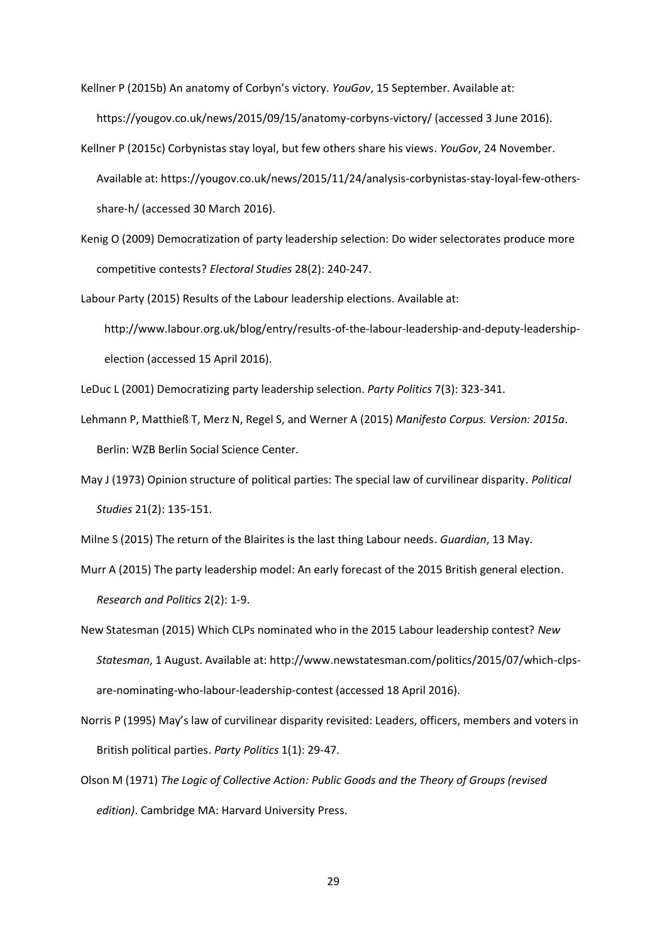Kellner P (2015b) An anatomy of Corbyn's victory. *YouGov*, 15 September. Available at: https://yougov.co.uk/news/2015/09/15/anatomy-corbyns-victory/ (accessed 3 June 2016).

- Kellner P (2015c) Corbynistas stay loyal, but few others share his views. *YouGov*, 24 November. Available at: https://yougov.co.uk/news/2015/11/24/analysis-corbynistas-stay-loyal-few-othersshare-h/ (accessed 30 March 2016).
- Kenig O (2009) Democratization of party leadership selection: Do wider selectorates produce more competitive contests? *Electoral Studies* 28(2): 240-247.

Labour Party (2015) Results of the Labour leadership elections. Available at: http://www.labour.org.uk/blog/entry/results-of-the-labour-leadership-and-deputy-leadership-

LeDuc L (2001) Democratizing party leadership selection. *Party Politics* 7(3): 323-341.

election (accessed 15 April 2016).

- Lehmann P, Matthieß T, Merz N, Regel S, and Werner A (2015) *Manifesto Corpus. Version: 2015a*. Berlin: WZB Berlin Social Science Center.
- May J (1973) Opinion structure of political parties: The special law of curvilinear disparity. *Political Studies* 21(2): 135-151.

Milne S (2015) The return of the Blairites is the last thing Labour needs. *Guardian*, 13 May.

Murr A (2015) The party leadership model: An early forecast of the 2015 British general election. *Research and Politics* 2(2): 1-9.

- New Statesman (2015) Which CLPs nominated who in the 2015 Labour leadership contest? *New Statesman*, 1 August. Available at: http://www.newstatesman.com/politics/2015/07/which-clpsare-nominating-who-labour-leadership-contest (accessed 18 April 2016).
- Norris P (1995) May's law of curvilinear disparity revisited: Leaders, officers, members and voters in British political parties. *Party Politics* 1(1): 29-47.
- Olson M (1971) *The Logic of Collective Action: Public Goods and the Theory of Groups (revised edition)*. Cambridge MA: Harvard University Press.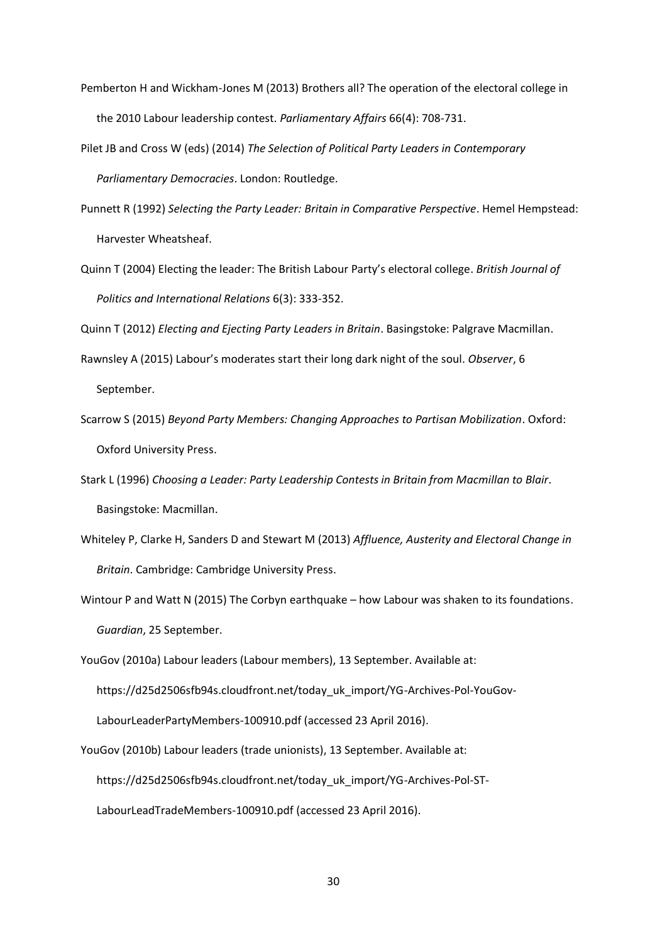- Pemberton H and Wickham-Jones M (2013) Brothers all? The operation of the electoral college in the 2010 Labour leadership contest. *Parliamentary Affairs* 66(4): 708-731.
- Pilet JB and Cross W (eds) (2014) *The Selection of Political Party Leaders in Contemporary Parliamentary Democracies*. London: Routledge.
- Punnett R (1992) *Selecting the Party Leader: Britain in Comparative Perspective*. Hemel Hempstead: Harvester Wheatsheaf.
- Quinn T (2004) Electing the leader: The British Labour Party's electoral college. *British Journal of Politics and International Relations* 6(3): 333-352.

Quinn T (2012) *Electing and Ejecting Party Leaders in Britain*. Basingstoke: Palgrave Macmillan.

- Rawnsley A (2015) Labour's moderates start their long dark night of the soul. *Observer*, 6 September.
- Scarrow S (2015) *Beyond Party Members: Changing Approaches to Partisan Mobilization*. Oxford: Oxford University Press.
- Stark L (1996) *Choosing a Leader: Party Leadership Contests in Britain from Macmillan to Blair*. Basingstoke: Macmillan.
- Whiteley P, Clarke H, Sanders D and Stewart M (2013) *Affluence, Austerity and Electoral Change in Britain*. Cambridge: Cambridge University Press.
- Wintour P and Watt N (2015) The Corbyn earthquake how Labour was shaken to its foundations. *Guardian*, 25 September.

YouGov (2010a) Labour leaders (Labour members), 13 September. Available at: https://d25d2506sfb94s.cloudfront.net/today\_uk\_import/YG-Archives-Pol-YouGov-LabourLeaderPartyMembers-100910.pdf (accessed 23 April 2016).

YouGov (2010b) Labour leaders (trade unionists), 13 September. Available at: https://d25d2506sfb94s.cloudfront.net/today\_uk\_import/YG-Archives-Pol-ST-LabourLeadTradeMembers-100910.pdf (accessed 23 April 2016).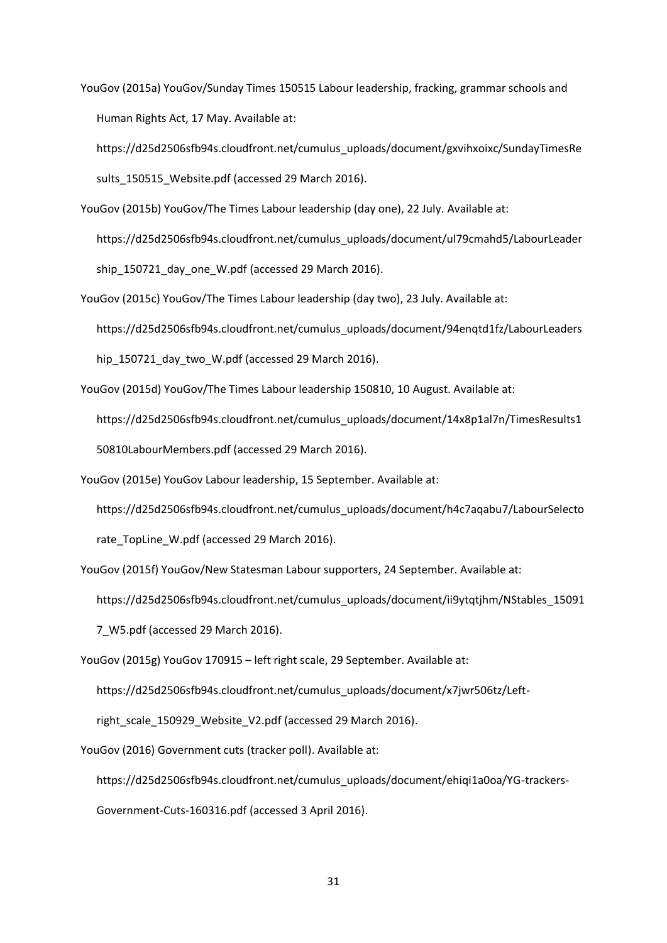YouGov (2015a) YouGov/Sunday Times 150515 Labour leadership, fracking, grammar schools and Human Rights Act, 17 May. Available at:

https://d25d2506sfb94s.cloudfront.net/cumulus\_uploads/document/gxvihxoixc/SundayTimesRe sults 150515 Website.pdf (accessed 29 March 2016).

- YouGov (2015b) YouGov/The Times Labour leadership (day one), 22 July. Available at: https://d25d2506sfb94s.cloudfront.net/cumulus\_uploads/document/ul79cmahd5/LabourLeader ship\_150721\_day\_one\_W.pdf (accessed 29 March 2016).
- YouGov (2015c) YouGov/The Times Labour leadership (day two), 23 July. Available at: https://d25d2506sfb94s.cloudfront.net/cumulus\_uploads/document/94enqtd1fz/LabourLeaders hip\_150721\_day\_two\_W.pdf (accessed 29 March 2016).
- YouGov (2015d) YouGov/The Times Labour leadership 150810, 10 August. Available at: https://d25d2506sfb94s.cloudfront.net/cumulus\_uploads/document/14x8p1al7n/TimesResults1 50810LabourMembers.pdf (accessed 29 March 2016).
- YouGov (2015e) YouGov Labour leadership, 15 September. Available at: https://d25d2506sfb94s.cloudfront.net/cumulus\_uploads/document/h4c7aqabu7/LabourSelecto rate TopLine W.pdf (accessed 29 March 2016).
- YouGov (2015f) YouGov/New Statesman Labour supporters, 24 September. Available at: https://d25d2506sfb94s.cloudfront.net/cumulus\_uploads/document/ii9ytqtjhm/NStables\_15091 7\_W5.pdf (accessed 29 March 2016).
- YouGov (2015g) YouGov 170915 left right scale, 29 September. Available at:

https://d25d2506sfb94s.cloudfront.net/cumulus\_uploads/document/x7jwr506tz/Left-

right\_scale\_150929\_Website\_V2.pdf (accessed 29 March 2016).

YouGov (2016) Government cuts (tracker poll). Available at:

https://d25d2506sfb94s.cloudfront.net/cumulus\_uploads/document/ehiqi1a0oa/YG-trackers-Government-Cuts-160316.pdf (accessed 3 April 2016).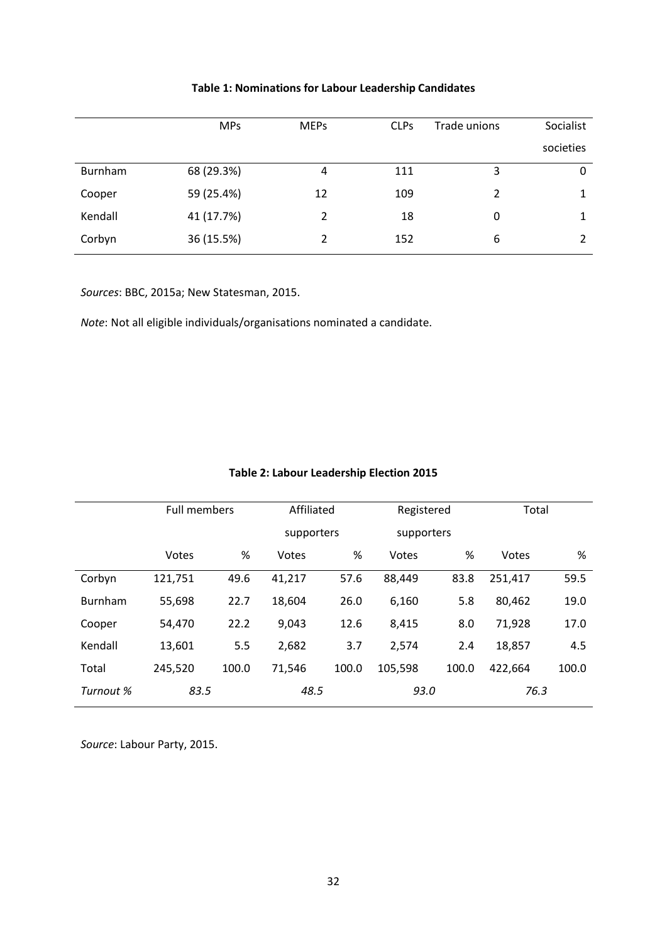|         | <b>MPs</b> | <b>MEPs</b> | <b>CLPs</b> | Trade unions   | Socialist |
|---------|------------|-------------|-------------|----------------|-----------|
|         |            |             |             |                | societies |
| Burnham | 68 (29.3%) | 4           | 111         | 3              | 0         |
| Cooper  | 59 (25.4%) | 12          | 109         | $\mathfrak{p}$ |           |
| Kendall | 41 (17.7%) | 2           | 18          | 0              | 1         |
| Corbyn  | 36 (15.5%) | 2           | 152         | 6              |           |

# **Table 1: Nominations for Labour Leadership Candidates**

*Sources*: BBC, 2015a; New Statesman, 2015.

*Note*: Not all eligible individuals/organisations nominated a candidate.

|           | Full members |       |            | Affiliated |            | Registered |         | Total |  |
|-----------|--------------|-------|------------|------------|------------|------------|---------|-------|--|
|           |              |       | supporters |            | supporters |            |         |       |  |
|           | Votes        | %     | Votes      | %          | Votes      | %          | Votes   | %     |  |
| Corbyn    | 121,751      | 49.6  | 41,217     | 57.6       | 88,449     | 83.8       | 251,417 | 59.5  |  |
| Burnham   | 55,698       | 22.7  | 18,604     | 26.0       | 6,160      | 5.8        | 80,462  | 19.0  |  |
| Cooper    | 54,470       | 22.2  | 9,043      | 12.6       | 8,415      | 8.0        | 71,928  | 17.0  |  |
| Kendall   | 13,601       | 5.5   | 2,682      | 3.7        | 2,574      | 2.4        | 18,857  | 4.5   |  |
| Total     | 245,520      | 100.0 | 71,546     | 100.0      | 105,598    | 100.0      | 422,664 | 100.0 |  |
| Turnout % | 83.5         |       | 48.5       |            | 93.0       |            | 76.3    |       |  |

# **Table 2: Labour Leadership Election 2015**

*Source*: Labour Party, 2015.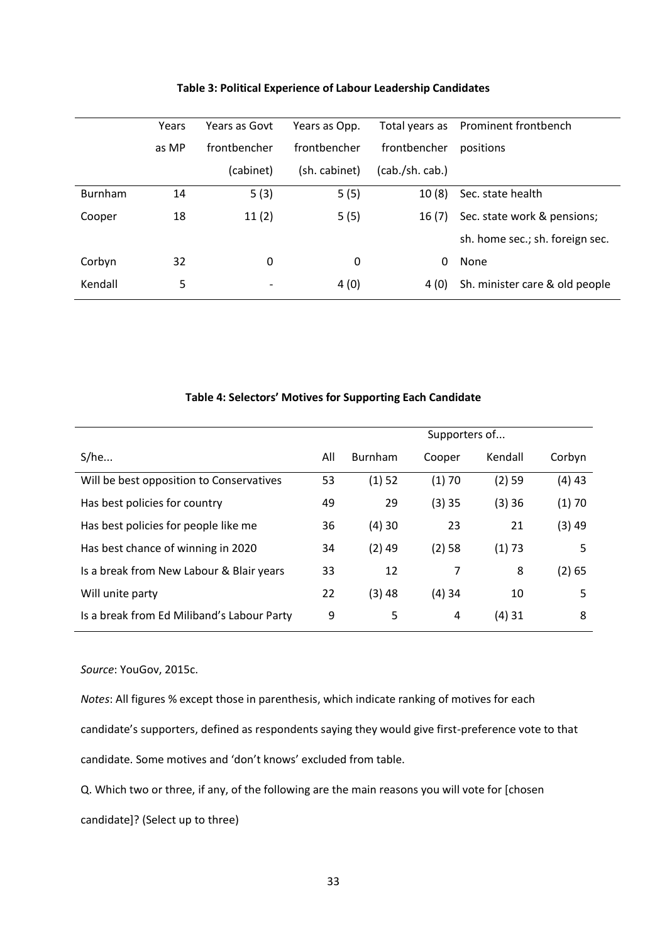|                | Years | Years as Govt            | Years as Opp. |                | Total years as Prominent frontbench |
|----------------|-------|--------------------------|---------------|----------------|-------------------------------------|
|                | as MP | frontbencher             | frontbencher  | frontbencher   | positions                           |
|                |       | (cabinet)                | (sh. cabinet) | (cab./sh.cab.) |                                     |
| <b>Burnham</b> | 14    | 5(3)                     | 5(5)          | 10(8)          | Sec. state health                   |
| Cooper         | 18    | 11(2)                    | 5(5)          | 16(7)          | Sec. state work & pensions;         |
|                |       |                          |               |                | sh. home sec.; sh. foreign sec.     |
| Corbyn         | 32    | 0                        | 0             | 0              | None                                |
| Kendall        | 5     | $\overline{\phantom{a}}$ | 4(0)          | 4 (0)          | Sh. minister care & old people      |
|                |       |                          |               |                |                                     |

### **Table 3: Political Experience of Labour Leadership Candidates**

| Table 4: Selectors' Motives for Supporting Each Candidate |  |  |  |  |
|-----------------------------------------------------------|--|--|--|--|
|-----------------------------------------------------------|--|--|--|--|

|                                            |     | Supporters of |        |         |          |  |
|--------------------------------------------|-----|---------------|--------|---------|----------|--|
| S/he                                       | All | Burnham       | Cooper | Kendall | Corbyn   |  |
| Will be best opposition to Conservatives   | 53  | (1) 52        | (1)70  | (2) 59  | $(4)$ 43 |  |
| Has best policies for country              | 49  | 29            | (3)35  | (3)36   | (1)70    |  |
| Has best policies for people like me       | 36  | (4)30         | 23     | 21      | (3)49    |  |
| Has best chance of winning in 2020         | 34  | $(2)$ 49      | (2) 58 | (1) 73  | 5        |  |
| Is a break from New Labour & Blair years   | 33  | 12            | 7      | 8       | (2) 65   |  |
| Will unite party                           | 22  | (3) 48        | (4)34  | 10      | 5        |  |
| Is a break from Ed Miliband's Labour Party | 9   | 5             | 4      | (4) 31  | 8        |  |

### *Source*: YouGov, 2015c.

*Notes*: All figures % except those in parenthesis, which indicate ranking of motives for each

candidate's supporters, defined as respondents saying they would give first-preference vote to that

candidate. Some motives and 'don't knows' excluded from table.

Q. Which two or three, if any, of the following are the main reasons you will vote for [chosen

candidate]? (Select up to three)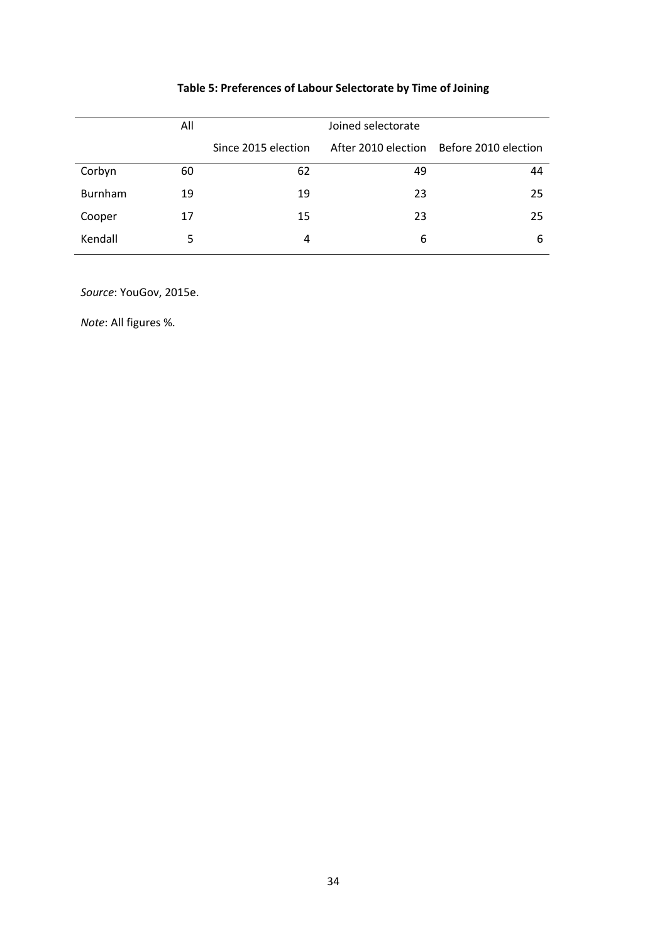# **Table 5: Preferences of Labour Selectorate by Time of Joining**

|         | All | Joined selectorate  |    |                                          |  |  |
|---------|-----|---------------------|----|------------------------------------------|--|--|
|         |     | Since 2015 election |    | After 2010 election Before 2010 election |  |  |
| Corbyn  | 60  | 62                  | 49 | 44                                       |  |  |
| Burnham | 19  | 19                  | 23 | 25                                       |  |  |
| Cooper  | 17  | 15                  | 23 | 25                                       |  |  |
| Kendall |     | 4                   | 6  | 6                                        |  |  |

*Source*: YouGov, 2015e.

*Note*: All figures %.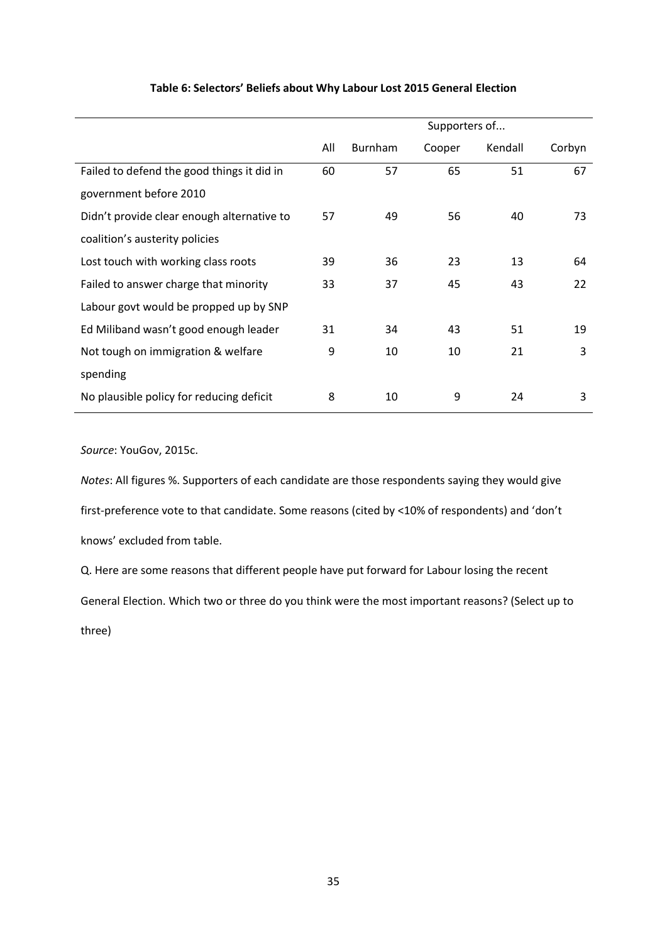|                                            |     | Supporters of |        |         |        |  |
|--------------------------------------------|-----|---------------|--------|---------|--------|--|
|                                            | All | Burnham       | Cooper | Kendall | Corbyn |  |
| Failed to defend the good things it did in | 60  | 57            | 65     | 51      | 67     |  |
| government before 2010                     |     |               |        |         |        |  |
| Didn't provide clear enough alternative to | 57  | 49            | 56     | 40      | 73     |  |
| coalition's austerity policies             |     |               |        |         |        |  |
| Lost touch with working class roots        | 39  | 36            | 23     | 13      | 64     |  |
| Failed to answer charge that minority      | 33  | 37            | 45     | 43      | 22     |  |
| Labour govt would be propped up by SNP     |     |               |        |         |        |  |
| Ed Miliband wasn't good enough leader      | 31  | 34            | 43     | 51      | 19     |  |
| Not tough on immigration & welfare         | 9   | 10            | 10     | 21      | 3      |  |
| spending                                   |     |               |        |         |        |  |
| No plausible policy for reducing deficit   | 8   | 10            | 9      | 24      | 3      |  |

### **Table 6: Selectors' Beliefs about Why Labour Lost 2015 General Election**

*Source*: YouGov, 2015c.

*Notes*: All figures %. Supporters of each candidate are those respondents saying they would give first-preference vote to that candidate. Some reasons (cited by <10% of respondents) and 'don't knows' excluded from table.

Q. Here are some reasons that different people have put forward for Labour losing the recent General Election. Which two or three do you think were the most important reasons? (Select up to three)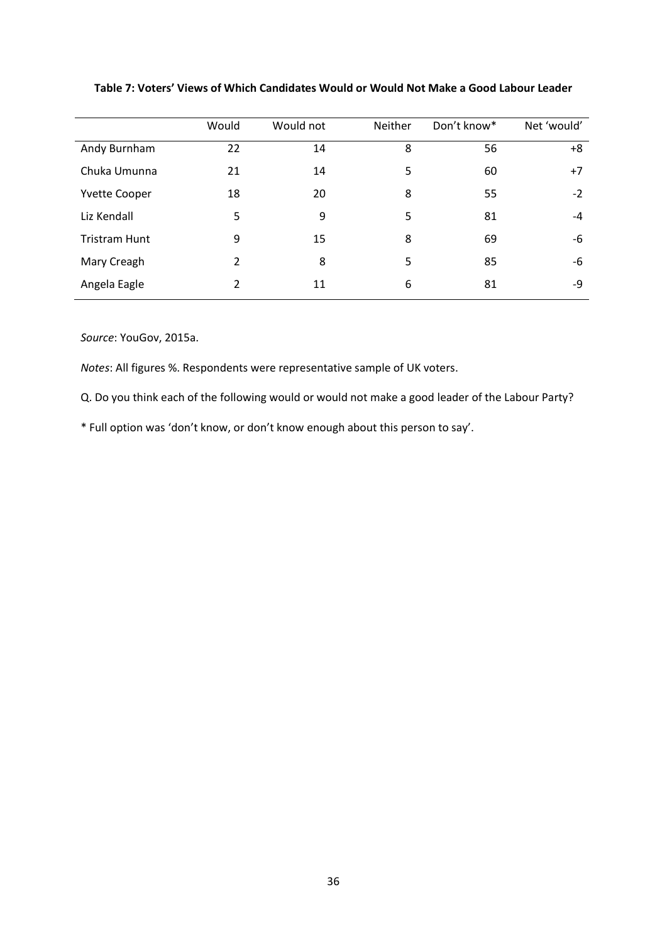|                      | Would | Would not | Neither | Don't know* | Net 'would' |
|----------------------|-------|-----------|---------|-------------|-------------|
| Andy Burnham         | 22    | 14        | 8       | 56          | +8          |
| Chuka Umunna         | 21    | 14        | 5       | 60          | $+7$        |
| <b>Yvette Cooper</b> | 18    | 20        | 8       | 55          | $-2$        |
| Liz Kendall          | 5     | 9         | 5       | 81          | -4          |
| <b>Tristram Hunt</b> | 9     | 15        | 8       | 69          | -6          |
| Mary Creagh          | 2     | 8         | 5       | 85          | -6          |
| Angela Eagle         | 2     | 11        | 6       | 81          | -9          |

### **Table 7: Voters' Views of Which Candidates Would or Would Not Make a Good Labour Leader**

*Source*: YouGov, 2015a.

*Notes*: All figures %. Respondents were representative sample of UK voters.

Q. Do you think each of the following would or would not make a good leader of the Labour Party?

\* Full option was 'don't know, or don't know enough about this person to say'.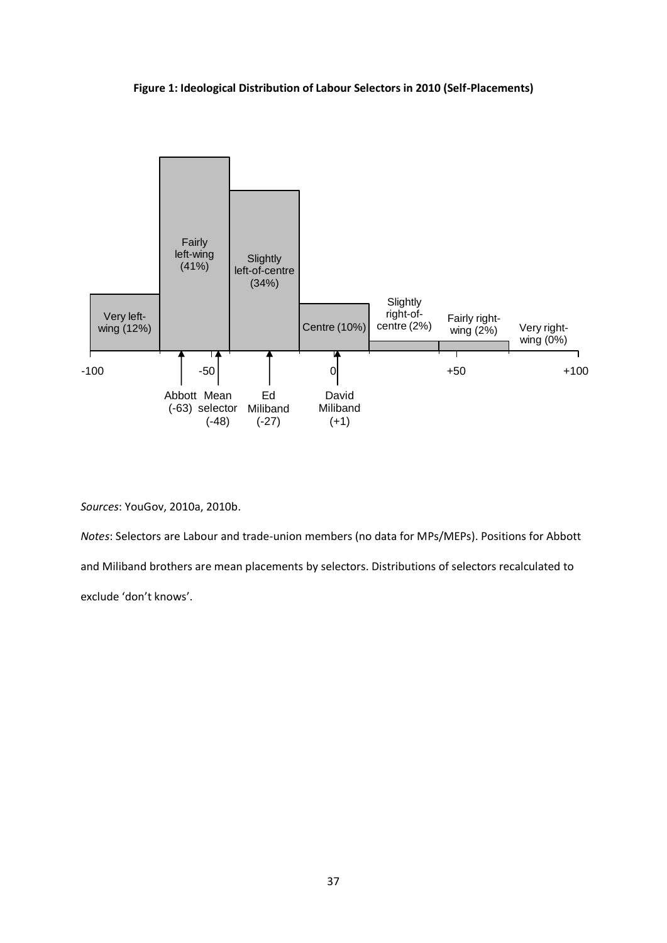



*Sources*: YouGov, 2010a, 2010b.

*Notes*: Selectors are Labour and trade-union members (no data for MPs/MEPs). Positions for Abbott and Miliband brothers are mean placements by selectors. Distributions of selectors recalculated to exclude 'don't knows'.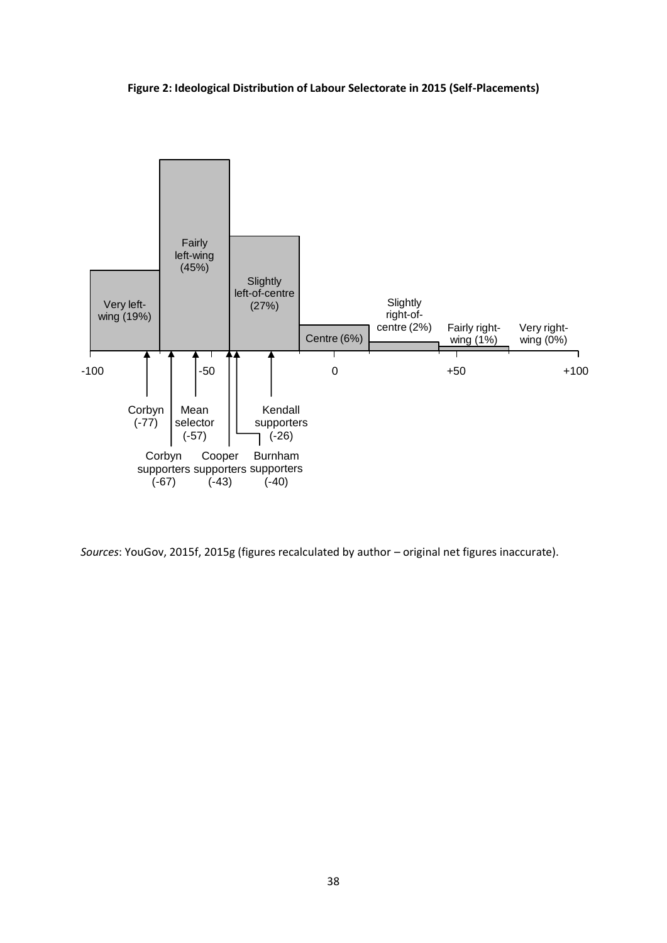### **Figure 2: Ideological Distribution of Labour Selectorate in 2015 (Self-Placements)**



*Sources*: YouGov, 2015f, 2015g (figures recalculated by author – original net figures inaccurate).